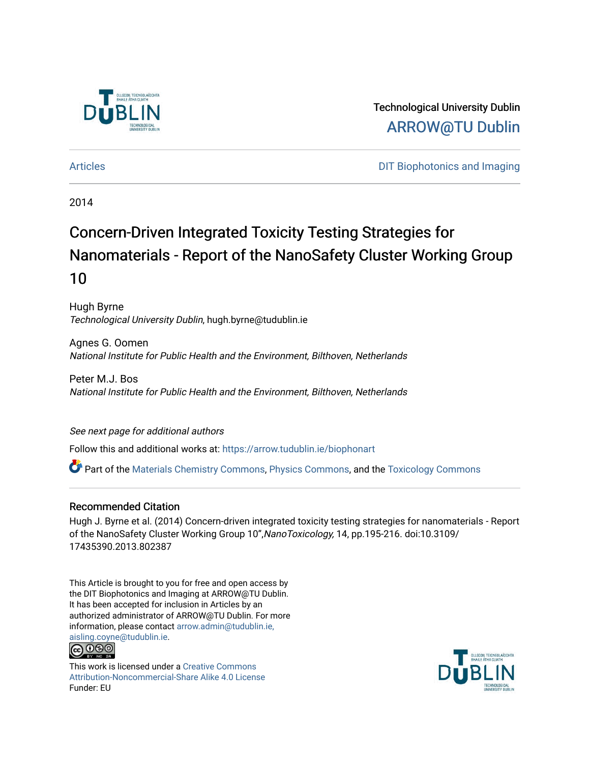

Technological University Dublin [ARROW@TU Dublin](https://arrow.tudublin.ie/) 

[Articles](https://arrow.tudublin.ie/biophonart) **DIT Biophotonics and Imaging** 

2014

# Concern-Driven Integrated Toxicity Testing Strategies for Nanomaterials - Report of the NanoSafety Cluster Working Group 10

Hugh Byrne Technological University Dublin, hugh.byrne@tudublin.ie

Agnes G. Oomen National Institute for Public Health and the Environment, Bilthoven, Netherlands

Peter M.J. Bos National Institute for Public Health and the Environment, Bilthoven, Netherlands

# See next page for additional authors

Follow this and additional works at: [https://arrow.tudublin.ie/biophonart](https://arrow.tudublin.ie/biophonart?utm_source=arrow.tudublin.ie%2Fbiophonart%2F7&utm_medium=PDF&utm_campaign=PDFCoverPages)

Part of the [Materials Chemistry Commons](http://network.bepress.com/hgg/discipline/135?utm_source=arrow.tudublin.ie%2Fbiophonart%2F7&utm_medium=PDF&utm_campaign=PDFCoverPages), [Physics Commons,](http://network.bepress.com/hgg/discipline/193?utm_source=arrow.tudublin.ie%2Fbiophonart%2F7&utm_medium=PDF&utm_campaign=PDFCoverPages) and the [Toxicology Commons](http://network.bepress.com/hgg/discipline/67?utm_source=arrow.tudublin.ie%2Fbiophonart%2F7&utm_medium=PDF&utm_campaign=PDFCoverPages)

# Recommended Citation

Hugh J. Byrne et al. (2014) Concern-driven integrated toxicity testing strategies for nanomaterials - Report of the NanoSafety Cluster Working Group 10",NanoToxicology, 14, pp.195-216. doi:10.3109/ 17435390.2013.802387

This Article is brought to you for free and open access by the DIT Biophotonics and Imaging at ARROW@TU Dublin. It has been accepted for inclusion in Articles by an authorized administrator of ARROW@TU Dublin. For more information, please contact [arrow.admin@tudublin.ie,](mailto:arrow.admin@tudublin.ie,%20aisling.coyne@tudublin.ie)  [aisling.coyne@tudublin.ie.](mailto:arrow.admin@tudublin.ie,%20aisling.coyne@tudublin.ie)



This work is licensed under a [Creative Commons](http://creativecommons.org/licenses/by-nc-sa/4.0/) [Attribution-Noncommercial-Share Alike 4.0 License](http://creativecommons.org/licenses/by-nc-sa/4.0/) Funder: EU

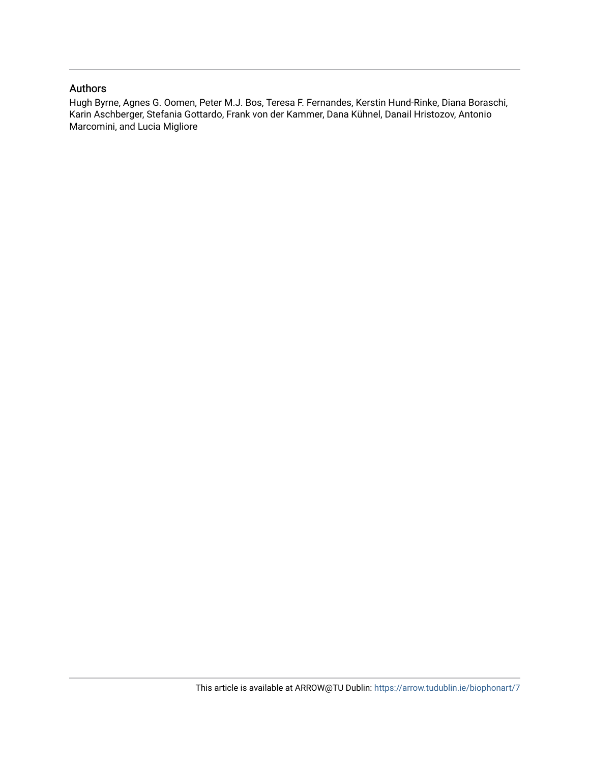# Authors

Hugh Byrne, Agnes G. Oomen, Peter M.J. Bos, Teresa F. Fernandes, Kerstin Hund-Rinke, Diana Boraschi, Karin Aschberger, Stefania Gottardo, Frank von der Kammer, Dana Kühnel, Danail Hristozov, Antonio Marcomini, and Lucia Migliore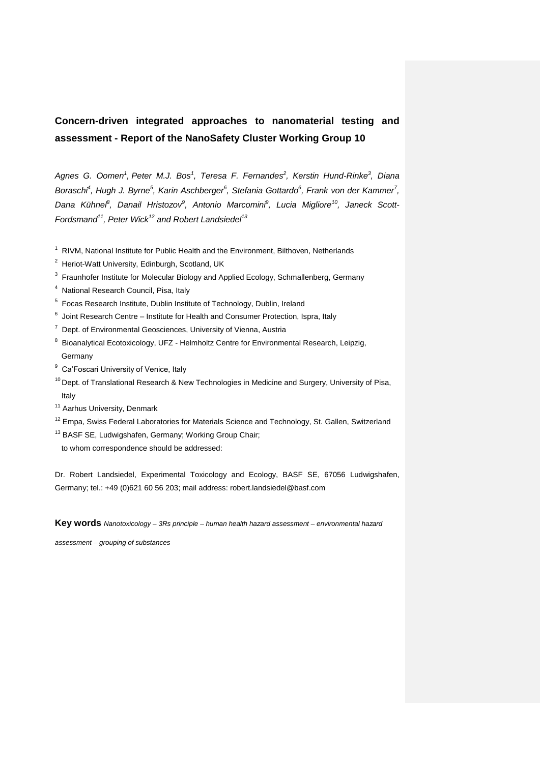# **Concern-driven integrated approaches to nanomaterial testing and assessment - Report of the NanoSafety Cluster Working Group 10**

*Agnes G. Oomen<sup>1</sup> , Peter M.J. Bos<sup>1</sup> , Teresa F. Fernandes<sup>2</sup> , Kerstin Hund-Rinke<sup>3</sup> , Diana Boraschi<sup>4</sup> , Hugh J. Byrne<sup>5</sup> , Karin Aschberger<sup>6</sup> , Stefania Gottardo<sup>6</sup> , Frank von der Kammer<sup>7</sup> , Dana Kühnel<sup>8</sup> , Danail Hristozov<sup>9</sup> , Antonio Marcomini<sup>9</sup> , Lucia Migliore<sup>10</sup>, Janeck Scott-Fordsmand<sup>11</sup>, Peter Wick<sup>12</sup> and Robert Landsiedel<sup>13</sup>*

- <sup>1</sup> RIVM, National Institute for Public Health and the Environment, Bilthoven, Netherlands
- $2$  Heriot-Watt University, Edinburgh, Scotland, UK
- $3$  Fraunhofer Institute for Molecular Biology and Applied Ecology, Schmallenberg, Germany
- <sup>4</sup> National Research Council, Pisa, Italy
- <sup>5</sup> Focas Research Institute, Dublin Institute of Technology, Dublin, Ireland
- $^6$  Joint Research Centre Institute for Health and Consumer Protection, Ispra, Italy
- $7$  Dept. of Environmental Geosciences, University of Vienna, Austria
- <sup>8</sup> Bioanalytical Ecotoxicology, UFZ Helmholtz Centre for Environmental Research, Leipzig, Germany
- <sup>9</sup> Ca'Foscari University of Venice, Italy
- <sup>10</sup> Dept. of Translational Research & New Technologies in Medicine and Surgery, University of Pisa, Italy
- <sup>11</sup> Aarhus University, Denmark
- <sup>12</sup> Empa, Swiss Federal Laboratories for Materials Science and Technology, St. Gallen, Switzerland
- <sup>13</sup> BASF SE, Ludwigshafen, Germany; Working Group Chair;

to whom correspondence should be addressed:

Dr. Robert Landsiedel, Experimental Toxicology and Ecology, BASF SE, 67056 Ludwigshafen, Germany; tel.: +49 (0)621 60 56 203; mail address: robert.landsiedel@basf.com

**Key words** *Nanotoxicology – 3Rs principle – human health hazard assessment – environmental hazard* 

*assessment – grouping of substances*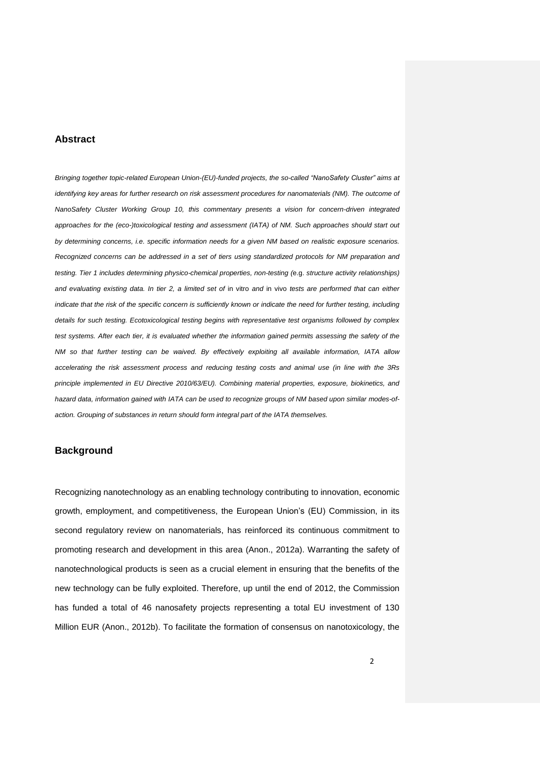#### **Abstract**

*Bringing together topic-related European Union-(EU)-funded projects, the so-called "NanoSafety Cluster" aims at identifying key areas for further research on risk assessment procedures for nanomaterials (NM). The outcome of NanoSafety Cluster Working Group 10, this commentary presents a vision for concern-driven integrated approaches for the (eco-)toxicological testing and assessment (IATA) of NM. Such approaches should start out by determining concerns, i.e. specific information needs for a given NM based on realistic exposure scenarios. Recognized concerns can be addressed in a set of tiers using standardized protocols for NM preparation and testing. Tier 1 includes determining physico-chemical properties, non-testing (*e.g. *structure activity relationships)*  and evaluating existing data. In tier 2, a limited set of in vitro and in vivo tests are performed that can either *indicate that the risk of the specific concern is sufficiently known or indicate the need for further testing, including details for such testing. Ecotoxicological testing begins with representative test organisms followed by complex test systems. After each tier, it is evaluated whether the information gained permits assessing the safety of the NM so that further testing can be waived. By effectively exploiting all available information, IATA allow accelerating the risk assessment process and reducing testing costs and animal use (in line with the 3Rs principle implemented in EU Directive 2010/63/EU). Combining material properties, exposure, biokinetics, and hazard data, information gained with IATA can be used to recognize groups of NM based upon similar modes-ofaction. Grouping of substances in return should form integral part of the IATA themselves.*

# **Background**

Recognizing nanotechnology as an enabling technology contributing to innovation, economic growth, employment, and competitiveness, the European Union's (EU) Commission, in its second regulatory review on nanomaterials, has reinforced its continuous commitment to promoting research and development in this area (Anon., 2012a). Warranting the safety of nanotechnological products is seen as a crucial element in ensuring that the benefits of the new technology can be fully exploited. Therefore, up until the end of 2012, the Commission has funded a total of 46 nanosafety projects representing a total EU investment of 130 Million EUR (Anon., 2012b). To facilitate the formation of consensus on nanotoxicology, the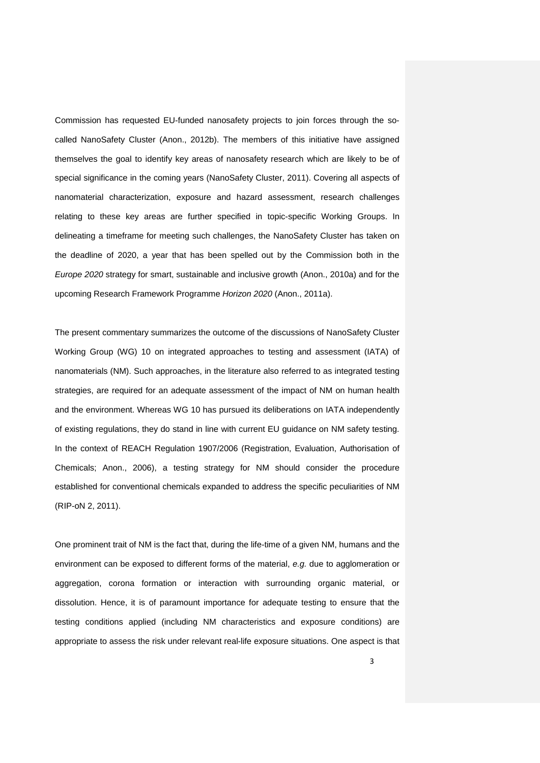Commission has requested EU-funded nanosafety projects to join forces through the socalled NanoSafety Cluster (Anon., 2012b). The members of this initiative have assigned themselves the goal to identify key areas of nanosafety research which are likely to be of special significance in the coming years (NanoSafety Cluster, 2011). Covering all aspects of nanomaterial characterization, exposure and hazard assessment, research challenges relating to these key areas are further specified in topic-specific Working Groups. In delineating a timeframe for meeting such challenges, the NanoSafety Cluster has taken on the deadline of 2020, a year that has been spelled out by the Commission both in the *Europe 2020* strategy for smart, sustainable and inclusive growth (Anon., 2010a) and for the upcoming Research Framework Programme *Horizon 2020* (Anon., 2011a).

The present commentary summarizes the outcome of the discussions of NanoSafety Cluster Working Group (WG) 10 on integrated approaches to testing and assessment (IATA) of nanomaterials (NM). Such approaches, in the literature also referred to as integrated testing strategies, are required for an adequate assessment of the impact of NM on human health and the environment. Whereas WG 10 has pursued its deliberations on IATA independently of existing regulations, they do stand in line with current EU guidance on NM safety testing. In the context of REACH Regulation 1907/2006 (Registration, Evaluation, Authorisation of Chemicals; Anon., 2006), a testing strategy for NM should consider the procedure established for conventional chemicals expanded to address the specific peculiarities of NM (RIP-oN 2, 2011).

One prominent trait of NM is the fact that, during the life-time of a given NM, humans and the environment can be exposed to different forms of the material, *e.g.* due to agglomeration or aggregation, corona formation or interaction with surrounding organic material, or dissolution. Hence, it is of paramount importance for adequate testing to ensure that the testing conditions applied (including NM characteristics and exposure conditions) are appropriate to assess the risk under relevant real-life exposure situations. One aspect is that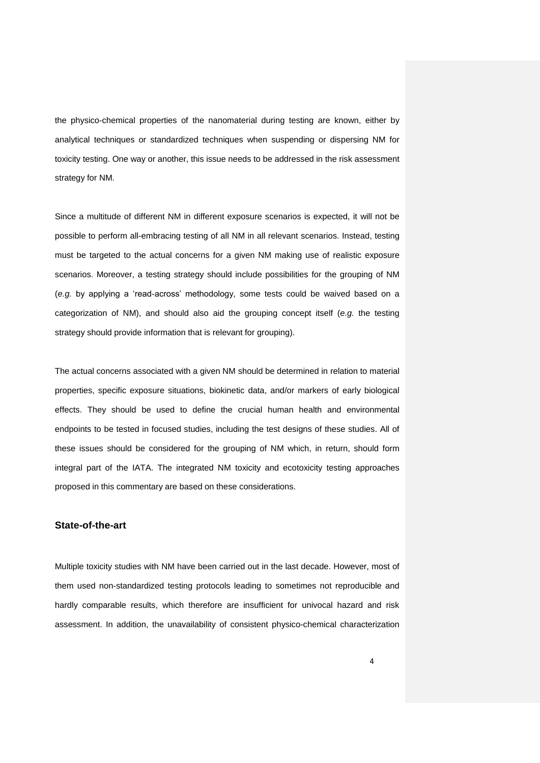the physico-chemical properties of the nanomaterial during testing are known, either by analytical techniques or standardized techniques when suspending or dispersing NM for toxicity testing. One way or another, this issue needs to be addressed in the risk assessment strategy for NM.

Since a multitude of different NM in different exposure scenarios is expected, it will not be possible to perform all-embracing testing of all NM in all relevant scenarios. Instead, testing must be targeted to the actual concerns for a given NM making use of realistic exposure scenarios. Moreover, a testing strategy should include possibilities for the grouping of NM (*e.g.* by applying a 'read-across' methodology, some tests could be waived based on a categorization of NM), and should also aid the grouping concept itself (*e.g.* the testing strategy should provide information that is relevant for grouping).

The actual concerns associated with a given NM should be determined in relation to material properties, specific exposure situations, biokinetic data, and/or markers of early biological effects. They should be used to define the crucial human health and environmental endpoints to be tested in focused studies, including the test designs of these studies. All of these issues should be considered for the grouping of NM which, in return, should form integral part of the IATA. The integrated NM toxicity and ecotoxicity testing approaches proposed in this commentary are based on these considerations.

# **State-of-the-art**

Multiple toxicity studies with NM have been carried out in the last decade. However, most of them used non-standardized testing protocols leading to sometimes not reproducible and hardly comparable results, which therefore are insufficient for univocal hazard and risk assessment. In addition, the unavailability of consistent physico-chemical characterization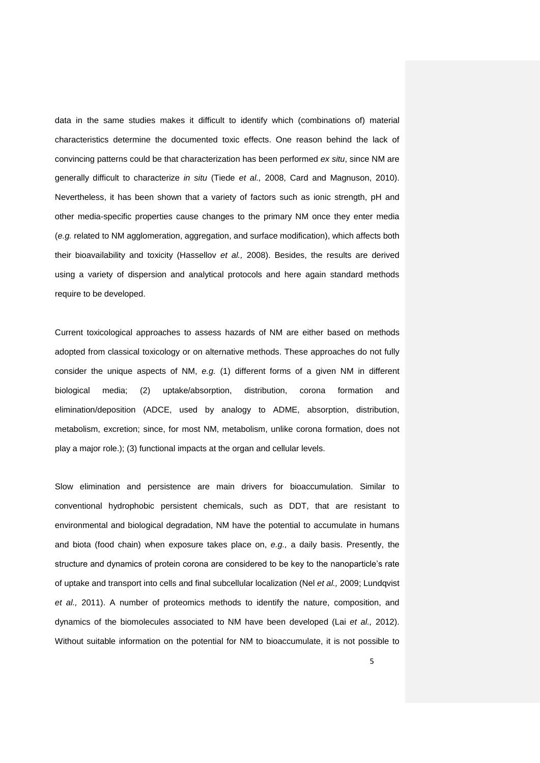data in the same studies makes it difficult to identify which (combinations of) material characteristics determine the documented toxic effects. One reason behind the lack of convincing patterns could be that characterization has been performed *ex situ*, since NM are generally difficult to characterize *in situ* (Tiede *et al.,* 2008, Card and Magnuson, 2010). Nevertheless, it has been shown that a variety of factors such as ionic strength, pH and other media-specific properties cause changes to the primary NM once they enter media (*e.g.* related to NM agglomeration, aggregation, and surface modification), which affects both their bioavailability and toxicity (Hassellov *et al.,* 2008). Besides, the results are derived using a variety of dispersion and analytical protocols and here again standard methods require to be developed.

Current toxicological approaches to assess hazards of NM are either based on methods adopted from classical toxicology or on alternative methods. These approaches do not fully consider the unique aspects of NM, *e.g.* (1) different forms of a given NM in different biological media; (2) uptake/absorption, distribution, corona formation and elimination/deposition (ADCE, used by analogy to ADME, absorption, distribution, metabolism, excretion; since, for most NM, metabolism, unlike corona formation, does not play a major role.); (3) functional impacts at the organ and cellular levels.

Slow elimination and persistence are main drivers for bioaccumulation. Similar to conventional hydrophobic persistent chemicals, such as DDT, that are resistant to environmental and biological degradation, NM have the potential to accumulate in humans and biota (food chain) when exposure takes place on, *e.g.,* a daily basis. Presently, the structure and dynamics of protein corona are considered to be key to the nanoparticle's rate of uptake and transport into cells and final subcellular localization (Nel *et al.,* 2009; Lundqvist *et al.,* 2011). A number of proteomics methods to identify the nature, composition, and dynamics of the biomolecules associated to NM have been developed (Lai *et al.,* 2012). Without suitable information on the potential for NM to bioaccumulate, it is not possible to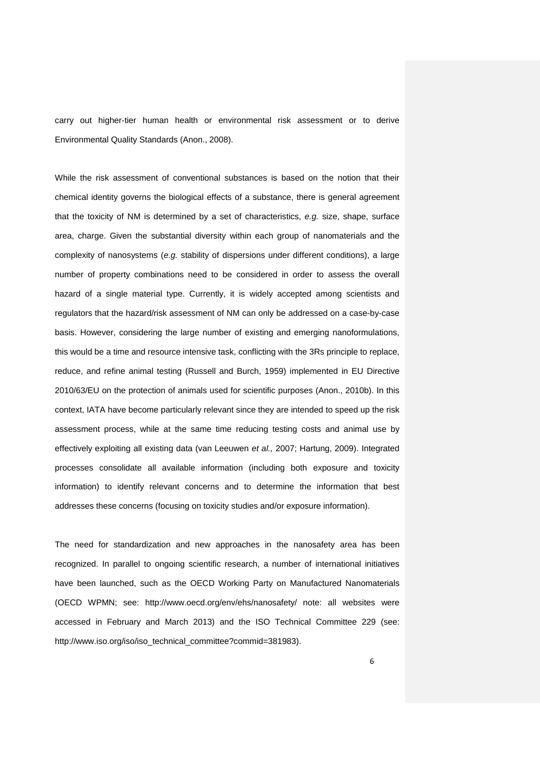carry out higher-tier human health or environmental risk assessment or to derive Environmental Quality Standards (Anon., 2008).

While the risk assessment of conventional substances is based on the notion that their chemical identity governs the biological effects of a substance, there is general agreement that the toxicity of NM is determined by a set of characteristics, *e.g.* size, shape, surface area, charge. Given the substantial diversity within each group of nanomaterials and the complexity of nanosystems (*e.g.* stability of dispersions under different conditions), a large number of property combinations need to be considered in order to assess the overall hazard of a single material type. Currently, it is widely accepted among scientists and regulators that the hazard/risk assessment of NM can only be addressed on a case-by-case basis. However, considering the large number of existing and emerging nanoformulations, this would be a time and resource intensive task, conflicting with the 3Rs principle to replace, reduce, and refine animal testing (Russell and Burch, 1959) implemented in EU Directive 2010/63/EU on the protection of animals used for scientific purposes (Anon., 2010b). In this context, IATA have become particularly relevant since they are intended to speed up the risk assessment process, while at the same time reducing testing costs and animal use by effectively exploiting all existing data (van Leeuwen *et al.,* 2007; Hartung, 2009). Integrated processes consolidate all available information (including both exposure and toxicity information) to identify relevant concerns and to determine the information that best addresses these concerns (focusing on toxicity studies and/or exposure information).

The need for standardization and new approaches in the nanosafety area has been recognized. In parallel to ongoing scientific research, a number of international initiatives have been launched, such as the OECD Working Party on Manufactured Nanomaterials (OECD WPMN; see: http://www.oecd.org/env/ehs/nanosafety/ note: all websites were accessed in February and March 2013) and the ISO Technical Committee 229 (see: http://www.iso.org/iso/iso\_technical\_committee?commid=381983).

6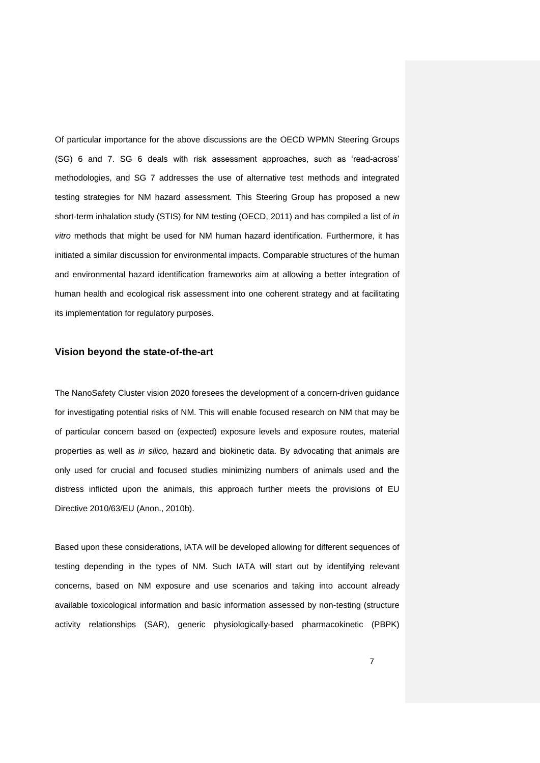Of particular importance for the above discussions are the OECD WPMN Steering Groups (SG) 6 and 7. SG 6 deals with risk assessment approaches, such as 'read-across' methodologies, and SG 7 addresses the use of alternative test methods and integrated testing strategies for NM hazard assessment. This Steering Group has proposed a new short-term inhalation study (STIS) for NM testing (OECD, 2011) and has compiled a list of *in vitro* methods that might be used for NM human hazard identification. Furthermore, it has initiated a similar discussion for environmental impacts. Comparable structures of the human and environmental hazard identification frameworks aim at allowing a better integration of human health and ecological risk assessment into one coherent strategy and at facilitating its implementation for regulatory purposes.

# **Vision beyond the state-of-the-art**

The NanoSafety Cluster vision 2020 foresees the development of a concern-driven guidance for investigating potential risks of NM. This will enable focused research on NM that may be of particular concern based on (expected) exposure levels and exposure routes, material properties as well as *in silico,* hazard and biokinetic data. By advocating that animals are only used for crucial and focused studies minimizing numbers of animals used and the distress inflicted upon the animals, this approach further meets the provisions of EU Directive 2010/63/EU (Anon., 2010b).

Based upon these considerations, IATA will be developed allowing for different sequences of testing depending in the types of NM. Such IATA will start out by identifying relevant concerns, based on NM exposure and use scenarios and taking into account already available toxicological information and basic information assessed by non-testing (structure activity relationships (SAR), generic physiologically-based pharmacokinetic (PBPK)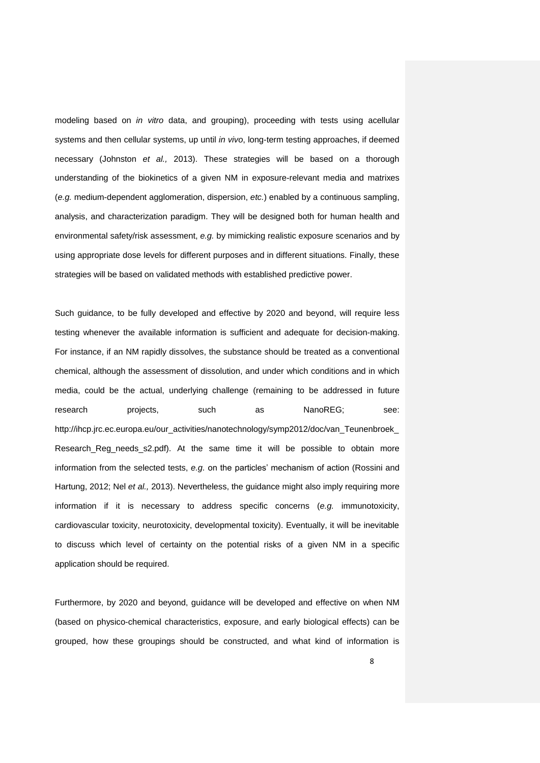modeling based on *in vitro* data, and grouping), proceeding with tests using acellular systems and then cellular systems, up until *in vivo*, long-term testing approaches, if deemed necessary (Johnston *et al.,* 2013). These strategies will be based on a thorough understanding of the biokinetics of a given NM in exposure-relevant media and matrixes (*e.g.* medium-dependent agglomeration, dispersion, *etc.*) enabled by a continuous sampling, analysis, and characterization paradigm. They will be designed both for human health and environmental safety/risk assessment, *e.g.* by mimicking realistic exposure scenarios and by using appropriate dose levels for different purposes and in different situations. Finally, these strategies will be based on validated methods with established predictive power.

Such guidance, to be fully developed and effective by 2020 and beyond, will require less testing whenever the available information is sufficient and adequate for decision-making. For instance, if an NM rapidly dissolves, the substance should be treated as a conventional chemical, although the assessment of dissolution, and under which conditions and in which media, could be the actual, underlying challenge (remaining to be addressed in future research projects, such as NanoREG; see: http://ihcp.jrc.ec.europa.eu/our\_activities/nanotechnology/symp2012/doc/van\_Teunenbroek\_ Research\_Reg\_needs\_s2.pdf). At the same time it will be possible to obtain more information from the selected tests, *e.g.* on the particles' mechanism of action (Rossini and Hartung, 2012; Nel *et al.,* 2013). Nevertheless, the guidance might also imply requiring more information if it is necessary to address specific concerns (*e.g.* immunotoxicity, cardiovascular toxicity, neurotoxicity, developmental toxicity). Eventually, it will be inevitable to discuss which level of certainty on the potential risks of a given NM in a specific application should be required.

Furthermore, by 2020 and beyond, guidance will be developed and effective on when NM (based on physico-chemical characteristics, exposure, and early biological effects) can be grouped, how these groupings should be constructed, and what kind of information is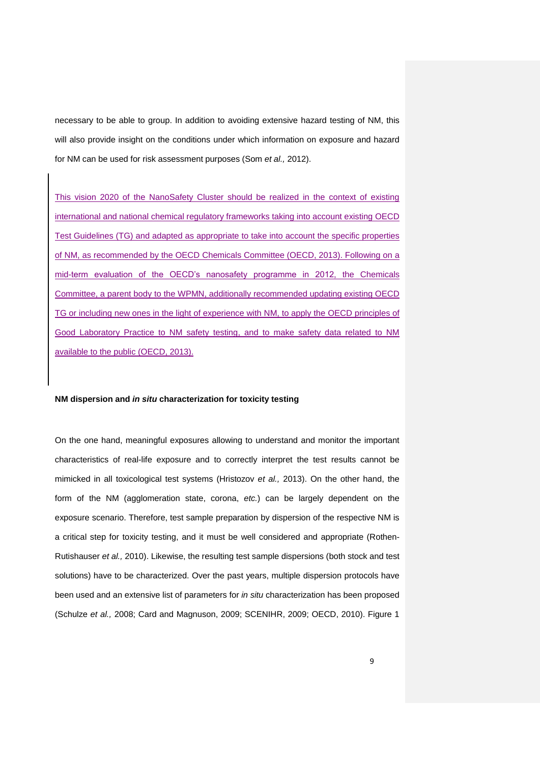necessary to be able to group. In addition to avoiding extensive hazard testing of NM, this will also provide insight on the conditions under which information on exposure and hazard for NM can be used for risk assessment purposes (Som *et al.,* 2012).

This vision 2020 of the NanoSafety Cluster should be realized in the context of existing international and national chemical regulatory frameworks taking into account existing OECD Test Guidelines (TG) and adapted as appropriate to take into account the specific properties of NM, as recommended by the OECD Chemicals Committee (OECD, 2013). Following on a mid-term evaluation of the OECD's nanosafety programme in 2012, the Chemicals Committee, a parent body to the WPMN, additionally recommended updating existing OECD TG or including new ones in the light of experience with NM, to apply the OECD principles of Good Laboratory Practice to NM safety testing, and to make safety data related to NM available to the public (OECD, 2013).

#### **NM dispersion and** *in situ* **characterization for toxicity testing**

On the one hand, meaningful exposures allowing to understand and monitor the important characteristics of real-life exposure and to correctly interpret the test results cannot be mimicked in all toxicological test systems (Hristozov *et al.,* 2013). On the other hand, the form of the NM (agglomeration state, corona, *etc.*) can be largely dependent on the exposure scenario. Therefore, test sample preparation by dispersion of the respective NM is a critical step for toxicity testing, and it must be well considered and appropriate (Rothen-Rutishauser *et al.,* 2010). Likewise, the resulting test sample dispersions (both stock and test solutions) have to be characterized. Over the past years, multiple dispersion protocols have been used and an extensive list of parameters for *in situ* characterization has been proposed (Schulze *et al.,* 2008; Card and Magnuson, 2009; SCENIHR, 2009; OECD, 2010). Figure 1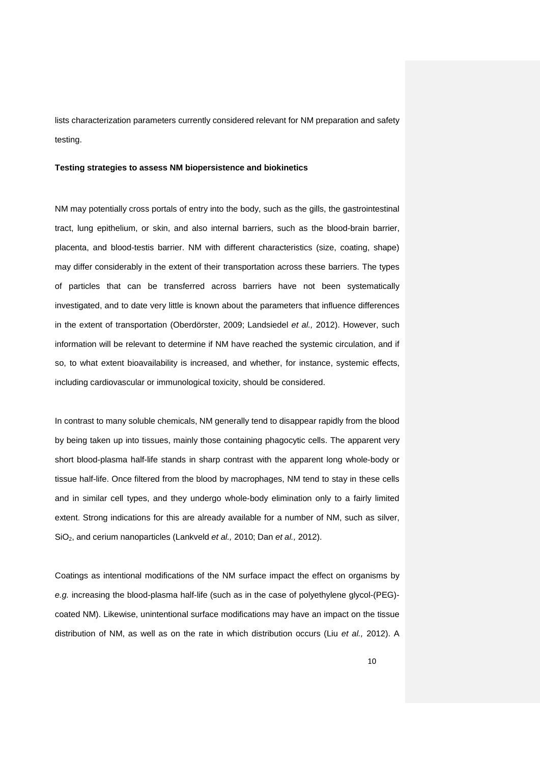lists characterization parameters currently considered relevant for NM preparation and safety testing.

#### **Testing strategies to assess NM biopersistence and biokinetics**

NM may potentially cross portals of entry into the body, such as the gills, the gastrointestinal tract, lung epithelium, or skin, and also internal barriers, such as the blood-brain barrier, placenta, and blood-testis barrier. NM with different characteristics (size, coating, shape) may differ considerably in the extent of their transportation across these barriers. The types of particles that can be transferred across barriers have not been systematically investigated, and to date very little is known about the parameters that influence differences in the extent of transportation (Oberdörster, 2009; Landsiedel *et al.,* 2012). However, such information will be relevant to determine if NM have reached the systemic circulation, and if so, to what extent bioavailability is increased, and whether, for instance, systemic effects, including cardiovascular or immunological toxicity, should be considered.

In contrast to many soluble chemicals, NM generally tend to disappear rapidly from the blood by being taken up into tissues, mainly those containing phagocytic cells. The apparent very short blood-plasma half-life stands in sharp contrast with the apparent long whole-body or tissue half-life. Once filtered from the blood by macrophages, NM tend to stay in these cells and in similar cell types, and they undergo whole-body elimination only to a fairly limited extent. Strong indications for this are already available for a number of NM, such as silver, SiO2, and cerium nanoparticles (Lankveld *et al.,* 2010; Dan *et al.,* 2012).

Coatings as intentional modifications of the NM surface impact the effect on organisms by *e.g.* increasing the blood-plasma half-life (such as in the case of polyethylene glycol-(PEG) coated NM). Likewise, unintentional surface modifications may have an impact on the tissue distribution of NM, as well as on the rate in which distribution occurs (Liu *et al.,* 2012). A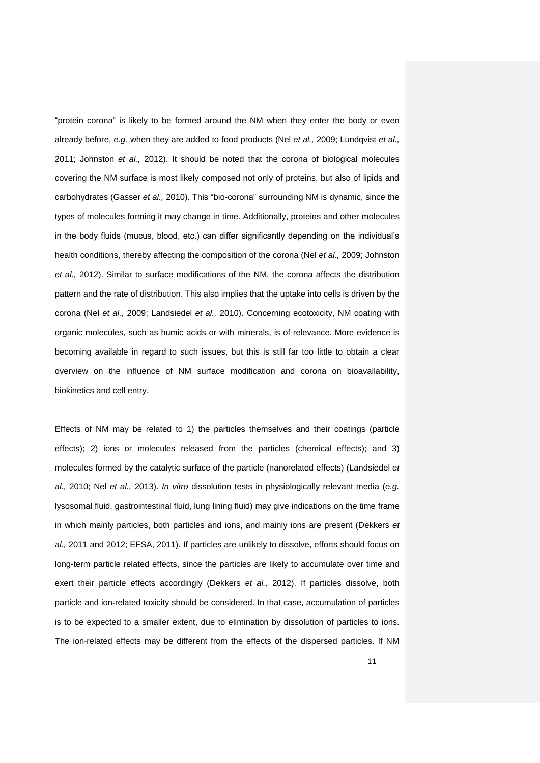"protein corona" is likely to be formed around the NM when they enter the body or even already before, *e.g.* when they are added to food products (Nel *et al.,* 2009; Lundqvist *et al.,* 2011; Johnston *et al.,* 2012). It should be noted that the corona of biological molecules covering the NM surface is most likely composed not only of proteins, but also of lipids and carbohydrates (Gasser *et al.,* 2010). This "bio-corona" surrounding NM is dynamic, since the types of molecules forming it may change in time. Additionally, proteins and other molecules in the body fluids (mucus, blood, etc.) can differ significantly depending on the individual's health conditions, thereby affecting the composition of the corona (Nel *et al.,* 2009; Johnston *et al.,* 2012). Similar to surface modifications of the NM, the corona affects the distribution pattern and the rate of distribution. This also implies that the uptake into cells is driven by the corona (Nel *et al.,* 2009; Landsiedel *et al.,* 2010). Concerning ecotoxicity, NM coating with organic molecules, such as humic acids or with minerals, is of relevance. More evidence is becoming available in regard to such issues, but this is still far too little to obtain a clear overview on the influence of NM surface modification and corona on bioavailability, biokinetics and cell entry.

Effects of NM may be related to 1) the particles themselves and their coatings (particle effects); 2) ions or molecules released from the particles (chemical effects); and 3) molecules formed by the catalytic surface of the particle (nanorelated effects) (Landsiedel *et al.,* 2010; Nel *et al.,* 2013). *In vitro* dissolution tests in physiologically relevant media (*e.g.* lysosomal fluid, gastrointestinal fluid, lung lining fluid) may give indications on the time frame in which mainly particles, both particles and ions, and mainly ions are present (Dekkers *et al.,* 2011 and 2012; EFSA, 2011). If particles are unlikely to dissolve, efforts should focus on long-term particle related effects, since the particles are likely to accumulate over time and exert their particle effects accordingly (Dekkers *et al.,* 2012). If particles dissolve, both particle and ion-related toxicity should be considered. In that case, accumulation of particles is to be expected to a smaller extent, due to elimination by dissolution of particles to ions. The ion-related effects may be different from the effects of the dispersed particles. If NM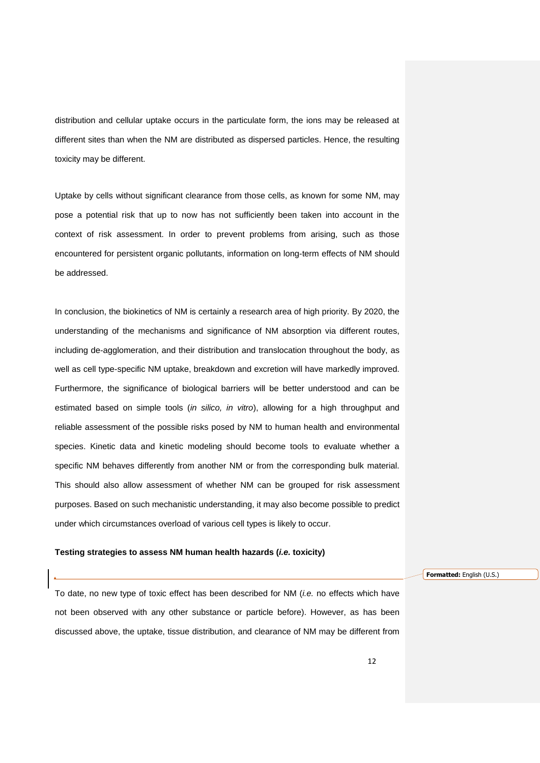distribution and cellular uptake occurs in the particulate form, the ions may be released at different sites than when the NM are distributed as dispersed particles. Hence, the resulting toxicity may be different.

Uptake by cells without significant clearance from those cells, as known for some NM, may pose a potential risk that up to now has not sufficiently been taken into account in the context of risk assessment. In order to prevent problems from arising, such as those encountered for persistent organic pollutants, information on long-term effects of NM should be addressed.

In conclusion, the biokinetics of NM is certainly a research area of high priority. By 2020, the understanding of the mechanisms and significance of NM absorption via different routes, including de-agglomeration, and their distribution and translocation throughout the body, as well as cell type-specific NM uptake, breakdown and excretion will have markedly improved. Furthermore, the significance of biological barriers will be better understood and can be estimated based on simple tools (*in silico, in vitro*), allowing for a high throughput and reliable assessment of the possible risks posed by NM to human health and environmental species. Kinetic data and kinetic modeling should become tools to evaluate whether a specific NM behaves differently from another NM or from the corresponding bulk material. This should also allow assessment of whether NM can be grouped for risk assessment purposes. Based on such mechanistic understanding, it may also become possible to predict under which circumstances overload of various cell types is likely to occur.

#### **Testing strategies to assess NM human health hazards (***i.e.* **toxicity)**

**Formatted:** English (U.S.)

To date, no new type of toxic effect has been described for NM (*i.e.* no effects which have not been observed with any other substance or particle before). However, as has been discussed above, the uptake, tissue distribution, and clearance of NM may be different from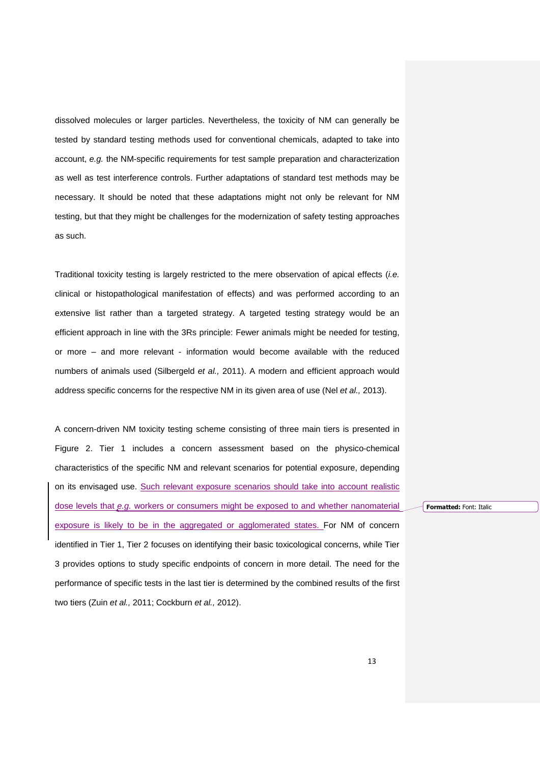dissolved molecules or larger particles. Nevertheless, the toxicity of NM can generally be tested by standard testing methods used for conventional chemicals, adapted to take into account, *e.g.* the NM-specific requirements for test sample preparation and characterization as well as test interference controls. Further adaptations of standard test methods may be necessary. It should be noted that these adaptations might not only be relevant for NM testing, but that they might be challenges for the modernization of safety testing approaches as such.

Traditional toxicity testing is largely restricted to the mere observation of apical effects (*i.e.* clinical or histopathological manifestation of effects) and was performed according to an extensive list rather than a targeted strategy. A targeted testing strategy would be an efficient approach in line with the 3Rs principle: Fewer animals might be needed for testing, or more – and more relevant - information would become available with the reduced numbers of animals used (Silbergeld *et al.,* 2011). A modern and efficient approach would address specific concerns for the respective NM in its given area of use (Nel *et al.,* 2013).

A concern-driven NM toxicity testing scheme consisting of three main tiers is presented in Figure 2. Tier 1 includes a concern assessment based on the physico-chemical characteristics of the specific NM and relevant scenarios for potential exposure, depending on its envisaged use. Such relevant exposure scenarios should take into account realistic dose levels that *e.g.* workers or consumers might be exposed to and whether nanomaterial exposure is likely to be in the aggregated or agglomerated states. For NM of concern identified in Tier 1, Tier 2 focuses on identifying their basic toxicological concerns, while Tier 3 provides options to study specific endpoints of concern in more detail. The need for the performance of specific tests in the last tier is determined by the combined results of the first two tiers (Zuin *et al.,* 2011; Cockburn *et al.,* 2012).

**Formatted:** Font: Italic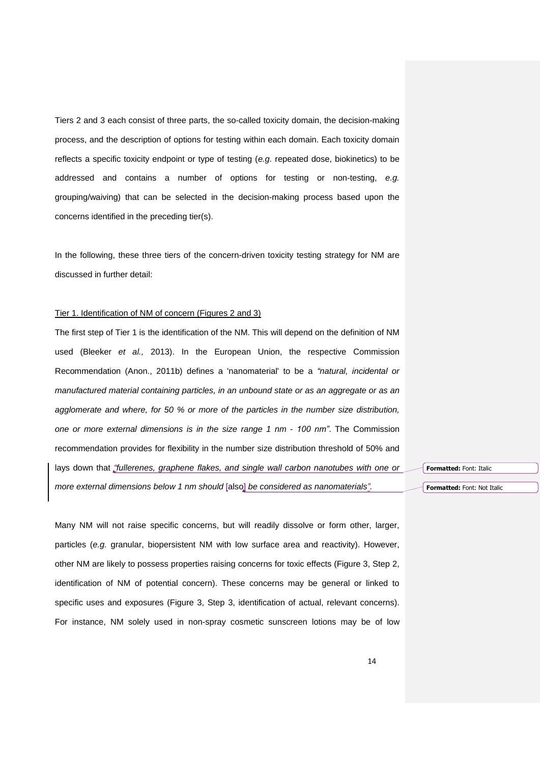Tiers 2 and 3 each consist of three parts, the so-called toxicity domain, the decision-making process, and the description of options for testing within each domain. Each toxicity domain reflects a specific toxicity endpoint or type of testing (*e.g.* repeated dose, biokinetics) to be addressed and contains a number of options for testing or non-testing, *e.g.* grouping/waiving) that can be selected in the decision-making process based upon the concerns identified in the preceding tier(s).

In the following, these three tiers of the concern-driven toxicity testing strategy for NM are discussed in further detail:

### Tier 1. Identification of NM of concern (Figures 2 and 3)

The first step of Tier 1 is the identification of the NM. This will depend on the definition of NM used (Bleeker *et al.,* 2013). In the European Union, the respective Commission Recommendation (Anon., 2011b) defines a 'nanomaterial' to be a *"natural, incidental or manufactured material containing particles, in an unbound state or as an aggregate or as an agglomerate and where, for 50 % or more of the particles in the number size distribution, one or more external dimensions is in the size range 1 nm - 100 nm"*. The Commission recommendation provides for flexibility in the number size distribution threshold of 50% and lays down that *"fullerenes, graphene flakes, and single wall carbon nanotubes with one or more external dimensions below 1 nm should* [also] *be considered as nanomaterials".*

Many NM will not raise specific concerns, but will readily dissolve or form other, larger, particles (e.g. granular, biopersistent NM with low surface area and reactivity). However, other NM are likely to possess properties raising concerns for toxic effects (Figure 3, Step 2, identification of NM of potential concern). These concerns may be general or linked to specific uses and exposures (Figure 3, Step 3, identification of actual, relevant concerns). For instance, NM solely used in non-spray cosmetic sunscreen lotions may be of low **Formatted:** Font: Italic

**Formatted:** Font: Not Italic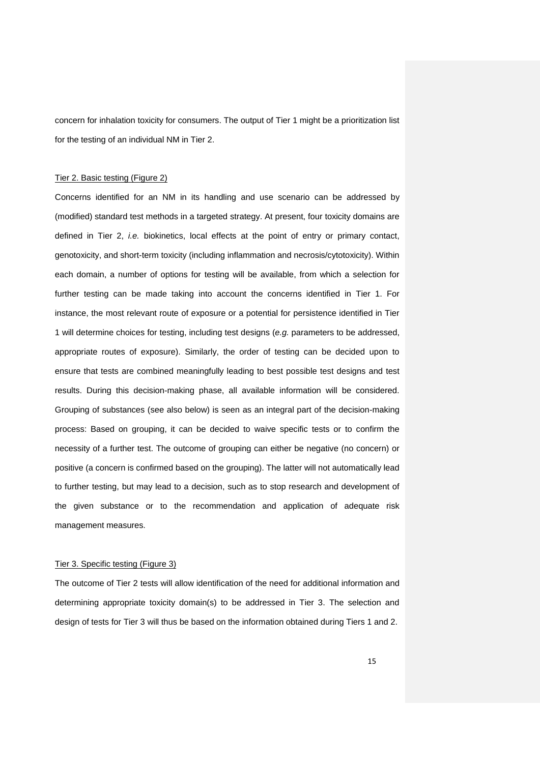concern for inhalation toxicity for consumers. The output of Tier 1 might be a prioritization list for the testing of an individual NM in Tier 2.

#### Tier 2. Basic testing (Figure 2)

Concerns identified for an NM in its handling and use scenario can be addressed by (modified) standard test methods in a targeted strategy. At present, four toxicity domains are defined in Tier 2, *i.e.* biokinetics, local effects at the point of entry or primary contact, genotoxicity, and short-term toxicity (including inflammation and necrosis/cytotoxicity). Within each domain, a number of options for testing will be available, from which a selection for further testing can be made taking into account the concerns identified in Tier 1. For instance, the most relevant route of exposure or a potential for persistence identified in Tier 1 will determine choices for testing, including test designs (*e.g.* parameters to be addressed, appropriate routes of exposure). Similarly, the order of testing can be decided upon to ensure that tests are combined meaningfully leading to best possible test designs and test results. During this decision-making phase, all available information will be considered. Grouping of substances (see also below) is seen as an integral part of the decision-making process: Based on grouping, it can be decided to waive specific tests or to confirm the necessity of a further test. The outcome of grouping can either be negative (no concern) or positive (a concern is confirmed based on the grouping). The latter will not automatically lead to further testing, but may lead to a decision, such as to stop research and development of the given substance or to the recommendation and application of adequate risk management measures.

#### Tier 3. Specific testing (Figure 3)

The outcome of Tier 2 tests will allow identification of the need for additional information and determining appropriate toxicity domain(s) to be addressed in Tier 3. The selection and design of tests for Tier 3 will thus be based on the information obtained during Tiers 1 and 2.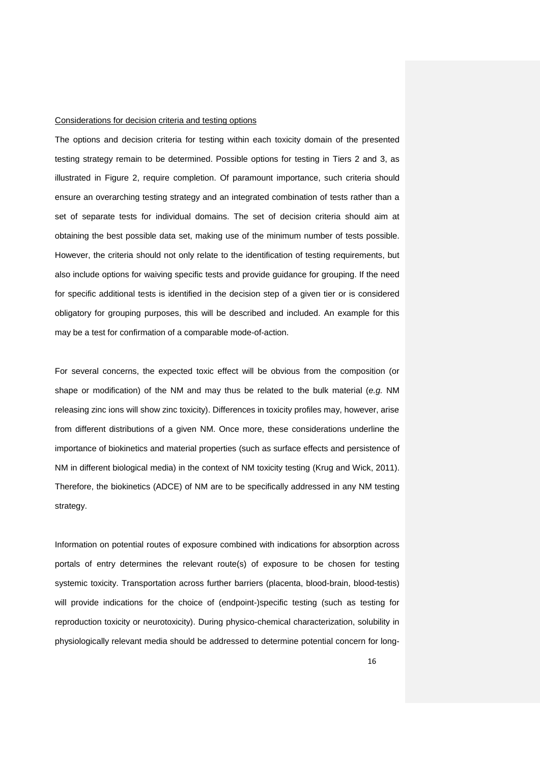#### Considerations for decision criteria and testing options

The options and decision criteria for testing within each toxicity domain of the presented testing strategy remain to be determined. Possible options for testing in Tiers 2 and 3, as illustrated in Figure 2, require completion. Of paramount importance, such criteria should ensure an overarching testing strategy and an integrated combination of tests rather than a set of separate tests for individual domains. The set of decision criteria should aim at obtaining the best possible data set, making use of the minimum number of tests possible. However, the criteria should not only relate to the identification of testing requirements, but also include options for waiving specific tests and provide guidance for grouping. If the need for specific additional tests is identified in the decision step of a given tier or is considered obligatory for grouping purposes, this will be described and included. An example for this may be a test for confirmation of a comparable mode-of-action.

For several concerns, the expected toxic effect will be obvious from the composition (or shape or modification) of the NM and may thus be related to the bulk material (*e.g.* NM releasing zinc ions will show zinc toxicity). Differences in toxicity profiles may, however, arise from different distributions of a given NM. Once more, these considerations underline the importance of biokinetics and material properties (such as surface effects and persistence of NM in different biological media) in the context of NM toxicity testing (Krug and Wick, 2011). Therefore, the biokinetics (ADCE) of NM are to be specifically addressed in any NM testing strategy.

Information on potential routes of exposure combined with indications for absorption across portals of entry determines the relevant route(s) of exposure to be chosen for testing systemic toxicity. Transportation across further barriers (placenta, blood-brain, blood-testis) will provide indications for the choice of (endpoint-)specific testing (such as testing for reproduction toxicity or neurotoxicity). During physico-chemical characterization, solubility in physiologically relevant media should be addressed to determine potential concern for long-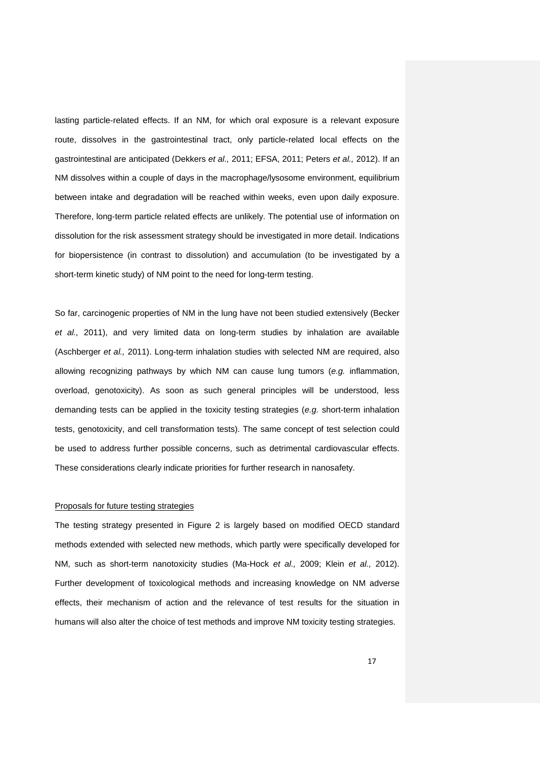lasting particle-related effects. If an NM, for which oral exposure is a relevant exposure route, dissolves in the gastrointestinal tract, only particle-related local effects on the gastrointestinal are anticipated (Dekkers *et al.,* 2011; EFSA, 2011; Peters *et al.,* 2012). If an NM dissolves within a couple of days in the macrophage/lysosome environment, equilibrium between intake and degradation will be reached within weeks, even upon daily exposure. Therefore, long-term particle related effects are unlikely. The potential use of information on dissolution for the risk assessment strategy should be investigated in more detail. Indications for biopersistence (in contrast to dissolution) and accumulation (to be investigated by a short-term kinetic study) of NM point to the need for long-term testing.

So far, carcinogenic properties of NM in the lung have not been studied extensively (Becker *et al.,* 2011), and very limited data on long-term studies by inhalation are available (Aschberger *et al.,* 2011). Long-term inhalation studies with selected NM are required, also allowing recognizing pathways by which NM can cause lung tumors (*e.g.* inflammation, overload, genotoxicity). As soon as such general principles will be understood, less demanding tests can be applied in the toxicity testing strategies (*e.g.* short-term inhalation tests, genotoxicity, and cell transformation tests). The same concept of test selection could be used to address further possible concerns, such as detrimental cardiovascular effects. These considerations clearly indicate priorities for further research in nanosafety.

#### Proposals for future testing strategies

The testing strategy presented in Figure 2 is largely based on modified OECD standard methods extended with selected new methods, which partly were specifically developed for NM, such as short-term nanotoxicity studies (Ma-Hock *et al.,* 2009; Klein *et al.,* 2012). Further development of toxicological methods and increasing knowledge on NM adverse effects, their mechanism of action and the relevance of test results for the situation in humans will also alter the choice of test methods and improve NM toxicity testing strategies.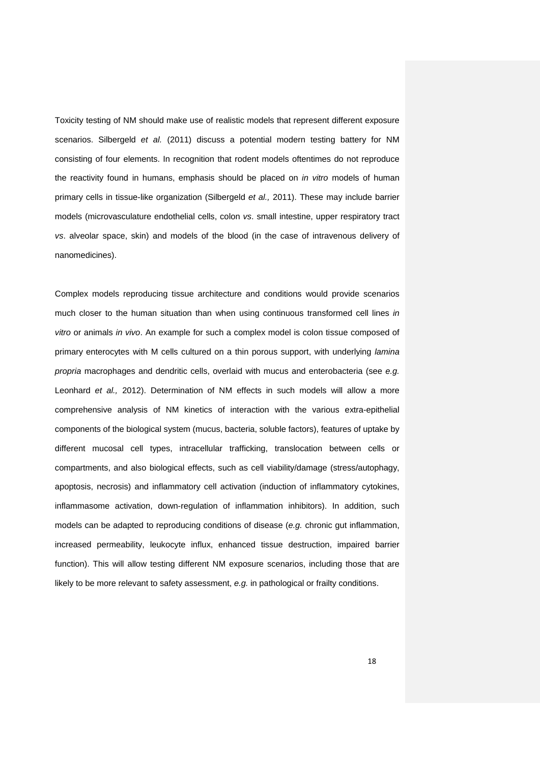Toxicity testing of NM should make use of realistic models that represent different exposure scenarios. Silbergeld *et al.* (2011) discuss a potential modern testing battery for NM consisting of four elements. In recognition that rodent models oftentimes do not reproduce the reactivity found in humans, emphasis should be placed on *in vitro* models of human primary cells in tissue-like organization (Silbergeld *et al.,* 2011). These may include barrier models (microvasculature endothelial cells, colon *vs*. small intestine, upper respiratory tract *vs*. alveolar space, skin) and models of the blood (in the case of intravenous delivery of nanomedicines).

Complex models reproducing tissue architecture and conditions would provide scenarios much closer to the human situation than when using continuous transformed cell lines *in vitro* or animals *in vivo*. An example for such a complex model is colon tissue composed of primary enterocytes with M cells cultured on a thin porous support, with underlying *lamina propria* macrophages and dendritic cells, overlaid with mucus and enterobacteria (see *e.g.* Leonhard *et al.,* 2012). Determination of NM effects in such models will allow a more comprehensive analysis of NM kinetics of interaction with the various extra-epithelial components of the biological system (mucus, bacteria, soluble factors), features of uptake by different mucosal cell types, intracellular trafficking, translocation between cells or compartments, and also biological effects, such as cell viability/damage (stress/autophagy, apoptosis, necrosis) and inflammatory cell activation (induction of inflammatory cytokines, inflammasome activation, down-regulation of inflammation inhibitors). In addition, such models can be adapted to reproducing conditions of disease (*e.g.* chronic gut inflammation, increased permeability, leukocyte influx, enhanced tissue destruction, impaired barrier function). This will allow testing different NM exposure scenarios, including those that are likely to be more relevant to safety assessment, *e.g.* in pathological or frailty conditions.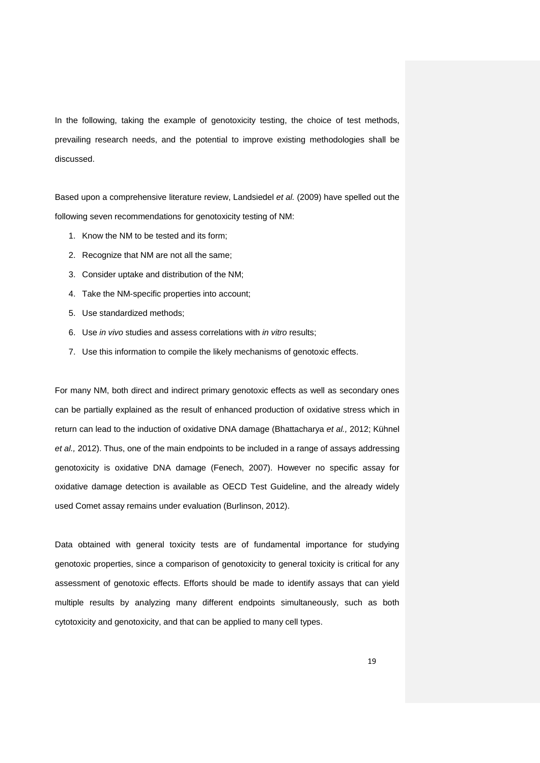In the following, taking the example of genotoxicity testing, the choice of test methods, prevailing research needs, and the potential to improve existing methodologies shall be discussed.

Based upon a comprehensive literature review, Landsiedel *et al.* (2009) have spelled out the following seven recommendations for genotoxicity testing of NM:

- 1. Know the NM to be tested and its form;
- 2. Recognize that NM are not all the same;
- 3. Consider uptake and distribution of the NM;
- 4. Take the NM-specific properties into account;
- 5. Use standardized methods;
- 6. Use *in vivo* studies and assess correlations with *in vitro* results;
- 7. Use this information to compile the likely mechanisms of genotoxic effects.

For many NM, both direct and indirect primary genotoxic effects as well as secondary ones can be partially explained as the result of enhanced production of oxidative stress which in return can lead to the induction of oxidative DNA damage (Bhattacharya *et al.,* 2012; Kühnel *et al.,* 2012). Thus, one of the main endpoints to be included in a range of assays addressing genotoxicity is oxidative DNA damage (Fenech, 2007). However no specific assay for oxidative damage detection is available as OECD Test Guideline, and the already widely used Comet assay remains under evaluation (Burlinson, 2012).

Data obtained with general toxicity tests are of fundamental importance for studying genotoxic properties, since a comparison of genotoxicity to general toxicity is critical for any assessment of genotoxic effects. Efforts should be made to identify assays that can yield multiple results by analyzing many different endpoints simultaneously, such as both cytotoxicity and genotoxicity, and that can be applied to many cell types.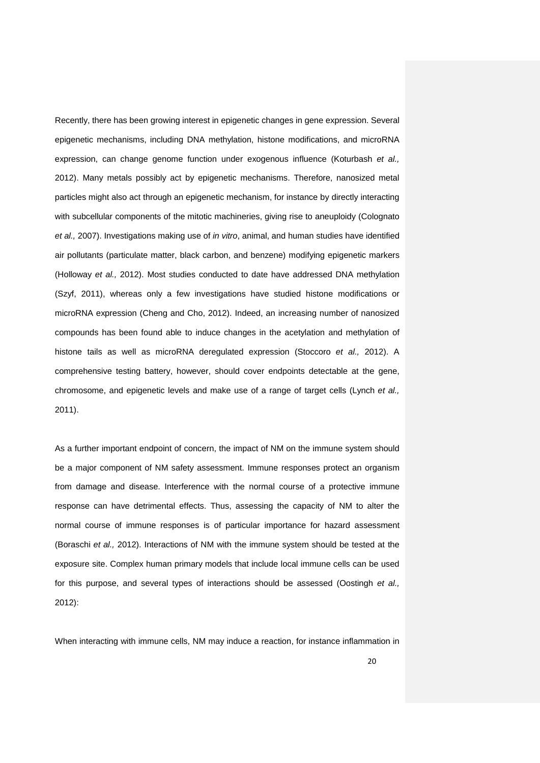Recently, there has been growing interest in epigenetic changes in gene expression. Several epigenetic mechanisms, including DNA methylation, histone modifications, and microRNA expression, can change genome function under exogenous influence (Koturbash *et al.,* 2012). Many metals possibly act by epigenetic mechanisms. Therefore, nanosized metal particles might also act through an epigenetic mechanism, for instance by directly interacting with subcellular components of the mitotic machineries, giving rise to aneuploidy (Colognato *et al.,* 2007). Investigations making use of *in vitro*, animal, and human studies have identified air pollutants (particulate matter, black carbon, and benzene) modifying epigenetic markers (Holloway *et al.,* 2012). Most studies conducted to date have addressed DNA methylation (Szyf, 2011), whereas only a few investigations have studied histone modifications or microRNA expression (Cheng and Cho, 2012). Indeed, an increasing number of nanosized compounds has been found able to induce changes in the acetylation and methylation of histone tails as well as microRNA deregulated expression (Stoccoro *et al.,* 2012). A comprehensive testing battery, however, should cover endpoints detectable at the gene, chromosome, and epigenetic levels and make use of a range of target cells (Lynch *et al.,* 2011).

As a further important endpoint of concern, the impact of NM on the immune system should be a major component of NM safety assessment. Immune responses protect an organism from damage and disease. Interference with the normal course of a protective immune response can have detrimental effects. Thus, assessing the capacity of NM to alter the normal course of immune responses is of particular importance for hazard assessment (Boraschi *et al.,* 2012). Interactions of NM with the immune system should be tested at the exposure site. Complex human primary models that include local immune cells can be used for this purpose, and several types of interactions should be assessed (Oostingh *et al.,* 2012):

When interacting with immune cells, NM may induce a reaction, for instance inflammation in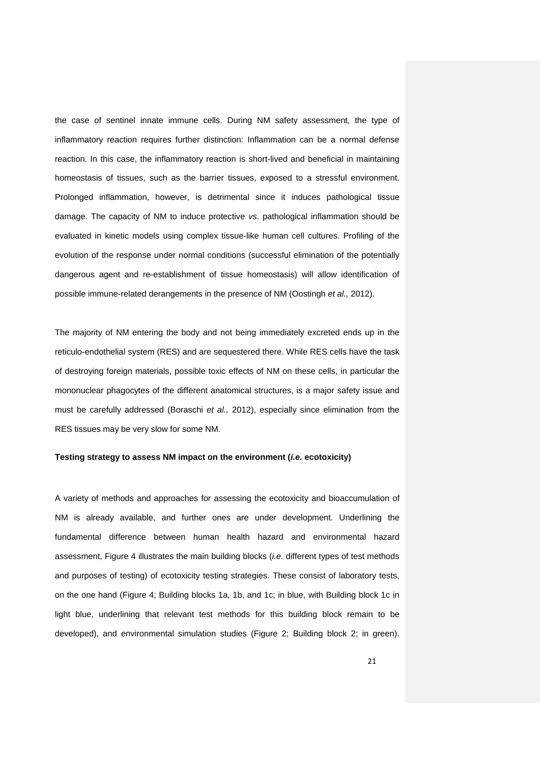the case of sentinel innate immune cells. During NM safety assessment, the type of inflammatory reaction requires further distinction: Inflammation can be a normal defense reaction. In this case, the inflammatory reaction is short-lived and beneficial in maintaining homeostasis of tissues, such as the barrier tissues, exposed to a stressful environment. Prolonged inflammation, however, is detrimental since it induces pathological tissue damage. The capacity of NM to induce protective *vs*. pathological inflammation should be evaluated in kinetic models using complex tissue-like human cell cultures. Profiling of the evolution of the response under normal conditions (successful elimination of the potentially dangerous agent and re-establishment of tissue homeostasis) will allow identification of possible immune-related derangements in the presence of NM (Oostingh *et al.,* 2012).

The majority of NM entering the body and not being immediately excreted ends up in the reticulo-endothelial system (RES) and are sequestered there. While RES cells have the task of destroying foreign materials, possible toxic effects of NM on these cells, in particular the mononuclear phagocytes of the different anatomical structures, is a major safety issue and must be carefully addressed (Boraschi *et al.,* 2012), especially since elimination from the RES tissues may be very slow for some NM.

#### **Testing strategy to assess NM impact on the environment (***i.e.* **ecotoxicity)**

A variety of methods and approaches for assessing the ecotoxicity and bioaccumulation of NM is already available, and further ones are under development. Underlining the fundamental difference between human health hazard and environmental hazard assessment, Figure 4 illustrates the main building blocks (*i.e.* different types of test methods and purposes of testing) of ecotoxicity testing strategies. These consist of laboratory tests, on the one hand (Figure 4; Building blocks 1a, 1b, and 1c; in blue, with Building block 1c in light blue, underlining that relevant test methods for this building block remain to be developed), and environmental simulation studies (Figure 2; Building block 2; in green).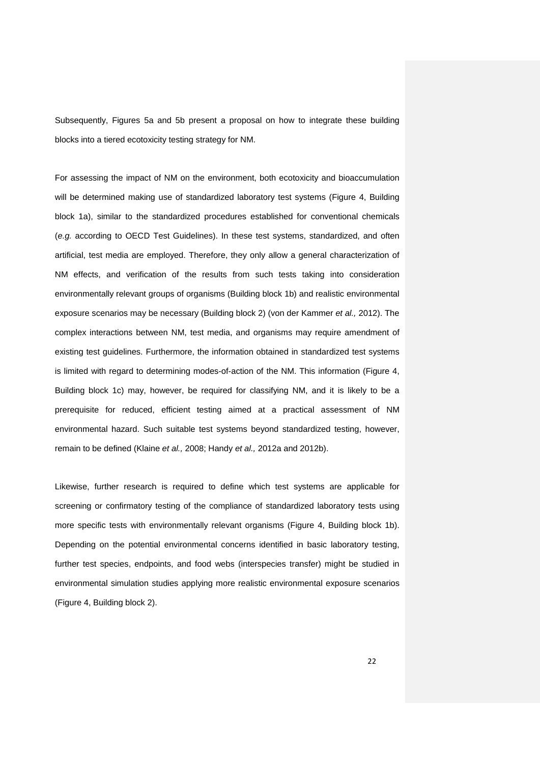Subsequently, Figures 5a and 5b present a proposal on how to integrate these building blocks into a tiered ecotoxicity testing strategy for NM.

For assessing the impact of NM on the environment, both ecotoxicity and bioaccumulation will be determined making use of standardized laboratory test systems (Figure 4, Building block 1a), similar to the standardized procedures established for conventional chemicals (*e.g.* according to OECD Test Guidelines). In these test systems, standardized, and often artificial, test media are employed. Therefore, they only allow a general characterization of NM effects, and verification of the results from such tests taking into consideration environmentally relevant groups of organisms (Building block 1b) and realistic environmental exposure scenarios may be necessary (Building block 2) (von der Kammer *et al.,* 2012). The complex interactions between NM, test media, and organisms may require amendment of existing test guidelines. Furthermore, the information obtained in standardized test systems is limited with regard to determining modes-of-action of the NM. This information (Figure 4, Building block 1c) may, however, be required for classifying NM, and it is likely to be a prerequisite for reduced, efficient testing aimed at a practical assessment of NM environmental hazard. Such suitable test systems beyond standardized testing, however, remain to be defined (Klaine *et al.,* 2008; Handy *et al.,* 2012a and 2012b).

Likewise, further research is required to define which test systems are applicable for screening or confirmatory testing of the compliance of standardized laboratory tests using more specific tests with environmentally relevant organisms (Figure 4, Building block 1b). Depending on the potential environmental concerns identified in basic laboratory testing, further test species, endpoints, and food webs (interspecies transfer) might be studied in environmental simulation studies applying more realistic environmental exposure scenarios (Figure 4, Building block 2).

22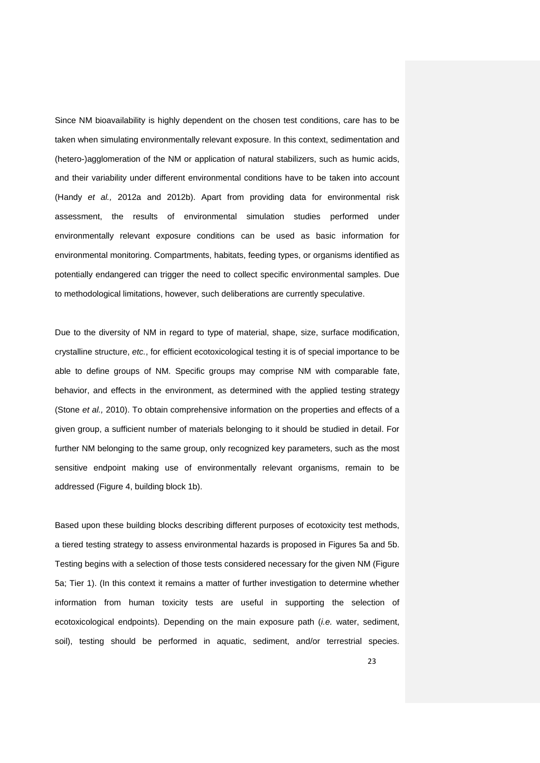Since NM bioavailability is highly dependent on the chosen test conditions, care has to be taken when simulating environmentally relevant exposure. In this context, sedimentation and (hetero-)agglomeration of the NM or application of natural stabilizers, such as humic acids, and their variability under different environmental conditions have to be taken into account (Handy *et al.,* 2012a and 2012b). Apart from providing data for environmental risk assessment, the results of environmental simulation studies performed under environmentally relevant exposure conditions can be used as basic information for environmental monitoring. Compartments, habitats, feeding types, or organisms identified as potentially endangered can trigger the need to collect specific environmental samples. Due to methodological limitations, however, such deliberations are currently speculative.

Due to the diversity of NM in regard to type of material, shape, size, surface modification, crystalline structure, *etc.*, for efficient ecotoxicological testing it is of special importance to be able to define groups of NM. Specific groups may comprise NM with comparable fate, behavior, and effects in the environment, as determined with the applied testing strategy (Stone *et al.,* 2010). To obtain comprehensive information on the properties and effects of a given group, a sufficient number of materials belonging to it should be studied in detail. For further NM belonging to the same group, only recognized key parameters, such as the most sensitive endpoint making use of environmentally relevant organisms, remain to be addressed (Figure 4, building block 1b).

Based upon these building blocks describing different purposes of ecotoxicity test methods, a tiered testing strategy to assess environmental hazards is proposed in Figures 5a and 5b. Testing begins with a selection of those tests considered necessary for the given NM (Figure 5a; Tier 1). (In this context it remains a matter of further investigation to determine whether information from human toxicity tests are useful in supporting the selection of ecotoxicological endpoints). Depending on the main exposure path (*i.e.* water, sediment, soil), testing should be performed in aquatic, sediment, and/or terrestrial species.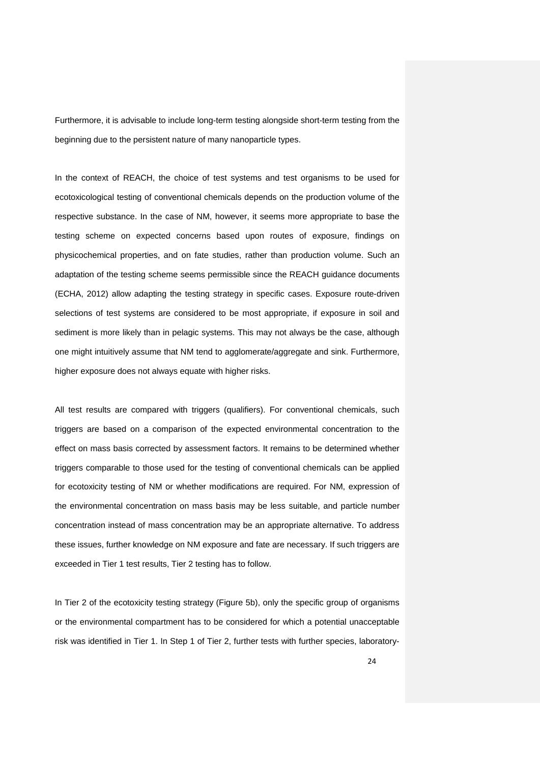Furthermore, it is advisable to include long-term testing alongside short-term testing from the beginning due to the persistent nature of many nanoparticle types.

In the context of REACH, the choice of test systems and test organisms to be used for ecotoxicological testing of conventional chemicals depends on the production volume of the respective substance. In the case of NM, however, it seems more appropriate to base the testing scheme on expected concerns based upon routes of exposure, findings on physicochemical properties, and on fate studies, rather than production volume. Such an adaptation of the testing scheme seems permissible since the REACH guidance documents (ECHA, 2012) allow adapting the testing strategy in specific cases. Exposure route-driven selections of test systems are considered to be most appropriate, if exposure in soil and sediment is more likely than in pelagic systems. This may not always be the case, although one might intuitively assume that NM tend to agglomerate/aggregate and sink. Furthermore, higher exposure does not always equate with higher risks.

All test results are compared with triggers (qualifiers). For conventional chemicals, such triggers are based on a comparison of the expected environmental concentration to the effect on mass basis corrected by assessment factors. It remains to be determined whether triggers comparable to those used for the testing of conventional chemicals can be applied for ecotoxicity testing of NM or whether modifications are required. For NM, expression of the environmental concentration on mass basis may be less suitable, and particle number concentration instead of mass concentration may be an appropriate alternative. To address these issues, further knowledge on NM exposure and fate are necessary. If such triggers are exceeded in Tier 1 test results, Tier 2 testing has to follow.

In Tier 2 of the ecotoxicity testing strategy (Figure 5b), only the specific group of organisms or the environmental compartment has to be considered for which a potential unacceptable risk was identified in Tier 1. In Step 1 of Tier 2, further tests with further species, laboratory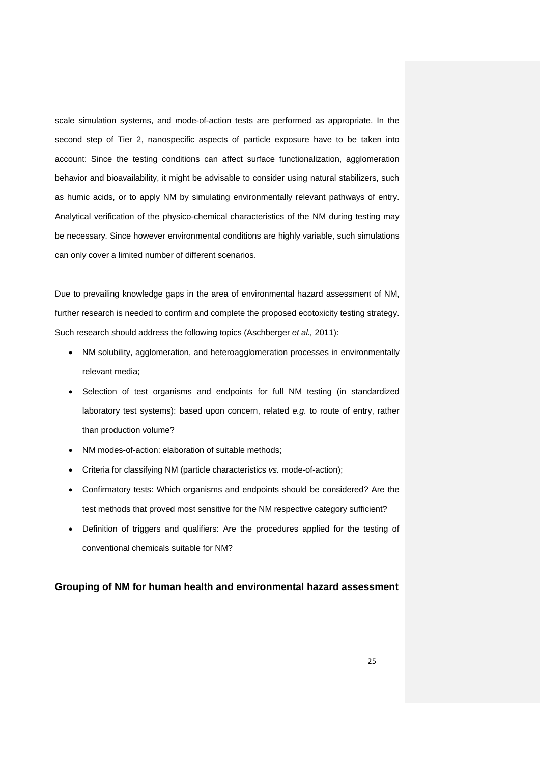scale simulation systems, and mode-of-action tests are performed as appropriate. In the second step of Tier 2, nanospecific aspects of particle exposure have to be taken into account: Since the testing conditions can affect surface functionalization, agglomeration behavior and bioavailability, it might be advisable to consider using natural stabilizers, such as humic acids, or to apply NM by simulating environmentally relevant pathways of entry. Analytical verification of the physico-chemical characteristics of the NM during testing may be necessary. Since however environmental conditions are highly variable, such simulations can only cover a limited number of different scenarios.

Due to prevailing knowledge gaps in the area of environmental hazard assessment of NM, further research is needed to confirm and complete the proposed ecotoxicity testing strategy. Such research should address the following topics (Aschberger *et al.,* 2011):

- NM solubility, agglomeration, and heteroagglomeration processes in environmentally relevant media;
- Selection of test organisms and endpoints for full NM testing (in standardized laboratory test systems): based upon concern, related *e.g.* to route of entry, rather than production volume?
- NM modes-of-action: elaboration of suitable methods;
- Criteria for classifying NM (particle characteristics *vs.* mode-of-action);
- Confirmatory tests: Which organisms and endpoints should be considered? Are the test methods that proved most sensitive for the NM respective category sufficient?
- Definition of triggers and qualifiers: Are the procedures applied for the testing of conventional chemicals suitable for NM?

#### **Grouping of NM for human health and environmental hazard assessment**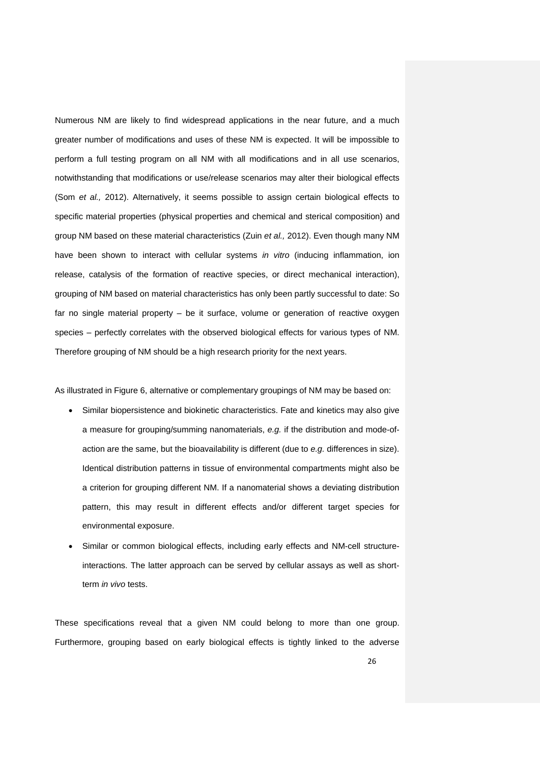Numerous NM are likely to find widespread applications in the near future, and a much greater number of modifications and uses of these NM is expected. It will be impossible to perform a full testing program on all NM with all modifications and in all use scenarios, notwithstanding that modifications or use/release scenarios may alter their biological effects (Som *et al.,* 2012). Alternatively, it seems possible to assign certain biological effects to specific material properties (physical properties and chemical and sterical composition) and group NM based on these material characteristics (Zuin *et al.,* 2012). Even though many NM have been shown to interact with cellular systems *in vitro* (inducing inflammation, ion release, catalysis of the formation of reactive species, or direct mechanical interaction), grouping of NM based on material characteristics has only been partly successful to date: So far no single material property – be it surface, volume or generation of reactive oxygen species – perfectly correlates with the observed biological effects for various types of NM. Therefore grouping of NM should be a high research priority for the next years.

As illustrated in Figure 6, alternative or complementary groupings of NM may be based on:

- Similar biopersistence and biokinetic characteristics. Fate and kinetics may also give a measure for grouping/summing nanomaterials, *e.g.* if the distribution and mode-ofaction are the same, but the bioavailability is different (due to *e.g.* differences in size). Identical distribution patterns in tissue of environmental compartments might also be a criterion for grouping different NM. If a nanomaterial shows a deviating distribution pattern, this may result in different effects and/or different target species for environmental exposure.
- Similar or common biological effects, including early effects and NM-cell structureinteractions. The latter approach can be served by cellular assays as well as shortterm *in vivo* tests.

These specifications reveal that a given NM could belong to more than one group. Furthermore, grouping based on early biological effects is tightly linked to the adverse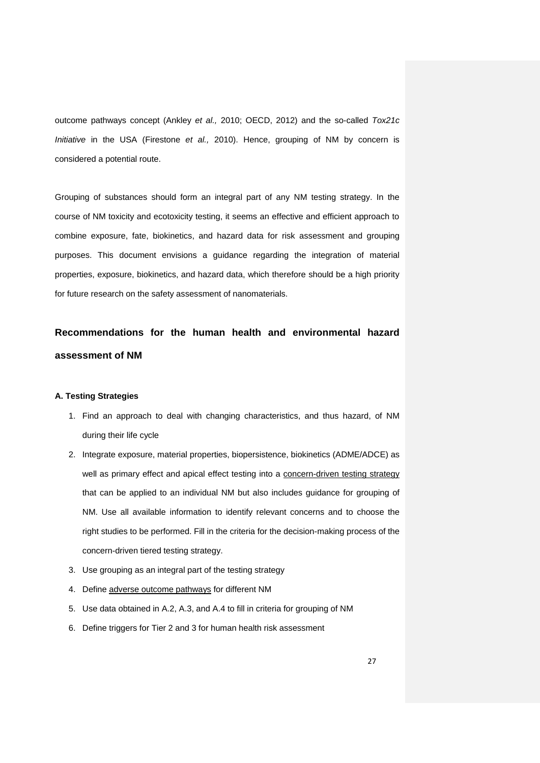outcome pathways concept (Ankley *et al.,* 2010; OECD, 2012) and the so-called *Tox21c Initiative* in the USA (Firestone *et al.,* 2010). Hence, grouping of NM by concern is considered a potential route.

Grouping of substances should form an integral part of any NM testing strategy. In the course of NM toxicity and ecotoxicity testing, it seems an effective and efficient approach to combine exposure, fate, biokinetics, and hazard data for risk assessment and grouping purposes. This document envisions a guidance regarding the integration of material properties, exposure, biokinetics, and hazard data, which therefore should be a high priority for future research on the safety assessment of nanomaterials.

**Recommendations for the human health and environmental hazard assessment of NM**

#### **A. Testing Strategies**

- 1. Find an approach to deal with changing characteristics, and thus hazard, of NM during their life cycle
- 2. Integrate exposure, material properties, biopersistence, biokinetics (ADME/ADCE) as well as primary effect and apical effect testing into a concern-driven testing strategy that can be applied to an individual NM but also includes guidance for grouping of NM. Use all available information to identify relevant concerns and to choose the right studies to be performed. Fill in the criteria for the decision-making process of the concern-driven tiered testing strategy.
- 3. Use grouping as an integral part of the testing strategy
- 4. Define adverse outcome pathways for different NM
- 5. Use data obtained in A.2, A.3, and A.4 to fill in criteria for grouping of NM
- 6. Define triggers for Tier 2 and 3 for human health risk assessment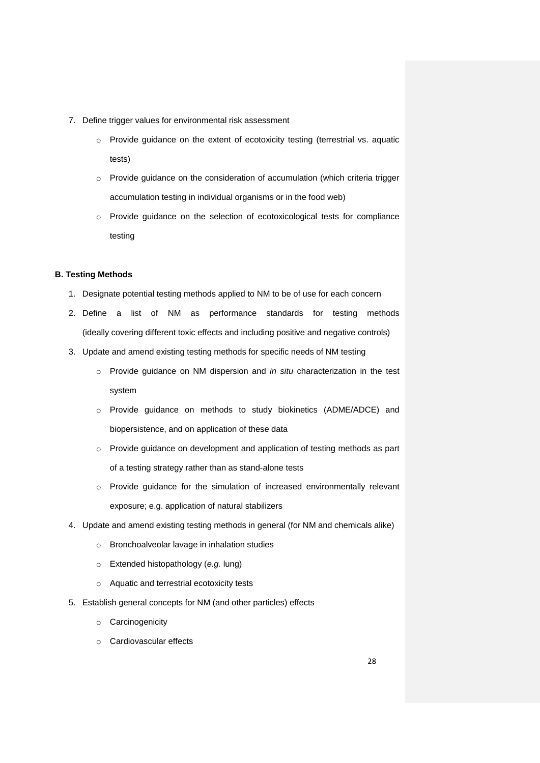- 7. Define trigger values for environmental risk assessment
	- o Provide guidance on the extent of ecotoxicity testing (terrestrial vs. aquatic tests)
	- o Provide guidance on the consideration of accumulation (which criteria trigger accumulation testing in individual organisms or in the food web)
	- o Provide guidance on the selection of ecotoxicological tests for compliance testing

# **B. Testing Methods**

- 1. Designate potential testing methods applied to NM to be of use for each concern
- 2. Define a list of NM as performance standards for testing methods (ideally covering different toxic effects and including positive and negative controls)
- 3. Update and amend existing testing methods for specific needs of NM testing
	- o Provide guidance on NM dispersion and *in situ* characterization in the test system
	- o Provide guidance on methods to study biokinetics (ADME/ADCE) and biopersistence, and on application of these data
	- o Provide guidance on development and application of testing methods as part of a testing strategy rather than as stand-alone tests
	- o Provide guidance for the simulation of increased environmentally relevant exposure; e.g. application of natural stabilizers
- 4. Update and amend existing testing methods in general (for NM and chemicals alike)
	- o Bronchoalveolar lavage in inhalation studies
	- o Extended histopathology (*e.g.* lung)
	- o Aquatic and terrestrial ecotoxicity tests
- 5. Establish general concepts for NM (and other particles) effects
	- o Carcinogenicity
	- o Cardiovascular effects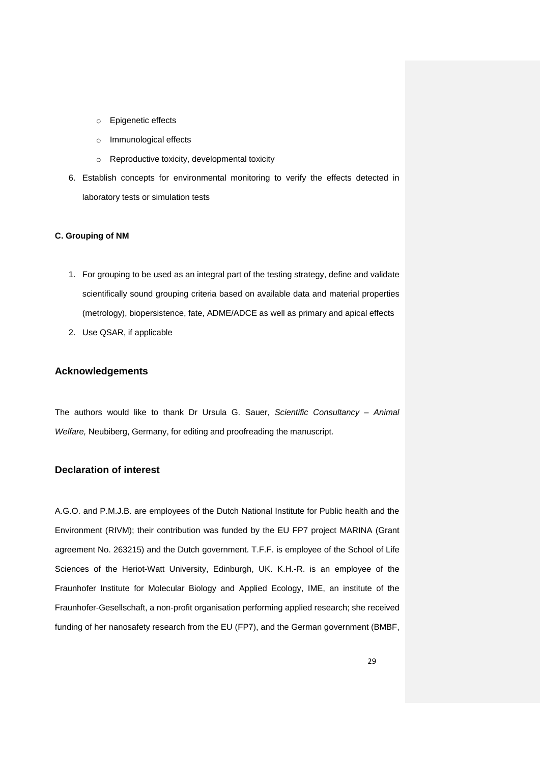- o Epigenetic effects
- o Immunological effects
- o Reproductive toxicity, developmental toxicity
- 6. Establish concepts for environmental monitoring to verify the effects detected in laboratory tests or simulation tests

### **C. Grouping of NM**

- 1. For grouping to be used as an integral part of the testing strategy, define and validate scientifically sound grouping criteria based on available data and material properties (metrology), biopersistence, fate, ADME/ADCE as well as primary and apical effects
- 2. Use QSAR, if applicable

# **Acknowledgements**

The authors would like to thank Dr Ursula G. Sauer, *Scientific Consultancy – Animal Welfare,* Neubiberg, Germany, for editing and proofreading the manuscript.

# **Declaration of interest**

A.G.O. and P.M.J.B. are employees of the Dutch National Institute for Public health and the Environment (RIVM); their contribution was funded by the EU FP7 project MARINA (Grant agreement No. 263215) and the Dutch government. T.F.F. is employee of the School of Life Sciences of the Heriot-Watt University, Edinburgh, UK. K.H.-R. is an employee of the Fraunhofer Institute for Molecular Biology and Applied Ecology, IME, an institute of the Fraunhofer-Gesellschaft, a non-profit organisation performing applied research; she received funding of her nanosafety research from the EU (FP7), and the German government (BMBF,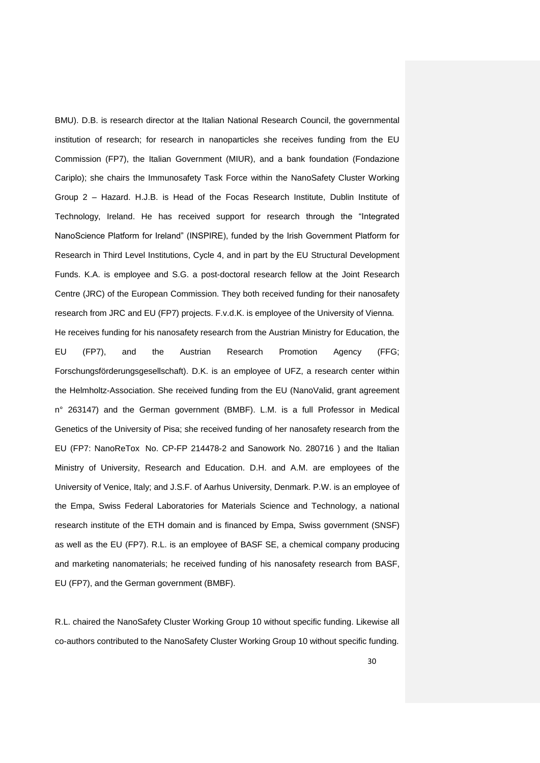BMU). D.B. is research director at the Italian National Research Council, the governmental institution of research; for research in nanoparticles she receives funding from the EU Commission (FP7), the Italian Government (MIUR), and a bank foundation (Fondazione Cariplo); she chairs the Immunosafety Task Force within the NanoSafety Cluster Working Group 2 – Hazard. H.J.B. is Head of the Focas Research Institute, Dublin Institute of Technology, Ireland. He has received support for research through the "Integrated NanoScience Platform for Ireland" (INSPIRE), funded by the Irish Government Platform for Research in Third Level Institutions, Cycle 4, and in part by the EU Structural Development Funds. K.A. is employee and S.G. a post-doctoral research fellow at the Joint Research Centre (JRC) of the European Commission. They both received funding for their nanosafety research from JRC and EU (FP7) projects. F.v.d.K. is employee of the University of Vienna. He receives funding for his nanosafety research from the Austrian Ministry for Education, the EU (FP7), and the Austrian Research Promotion Agency (FFG; Forschungsförderungsgesellschaft). D.K. is an employee of UFZ, a research center within the Helmholtz-Association. She received funding from the EU (NanoValid, grant agreement n° 263147) and the German government (BMBF). L.M. is a full Professor in Medical Genetics of the University of Pisa; she received funding of her nanosafety research from the EU (FP7: NanoReTox No. CP-FP 214478-2 and Sanowork No. 280716 ) and the Italian Ministry of University, Research and Education. D.H. and A.M. are employees of the University of Venice, Italy; and J.S.F. of Aarhus University, Denmark. P.W. is an employee of the Empa, Swiss Federal Laboratories for Materials Science and Technology, a national research institute of the ETH domain and is financed by Empa, Swiss government (SNSF) as well as the EU (FP7). R.L. is an employee of BASF SE, a chemical company producing and marketing nanomaterials; he received funding of his nanosafety research from BASF, EU (FP7), and the German government (BMBF).

R.L. chaired the NanoSafety Cluster Working Group 10 without specific funding. Likewise all co-authors contributed to the NanoSafety Cluster Working Group 10 without specific funding.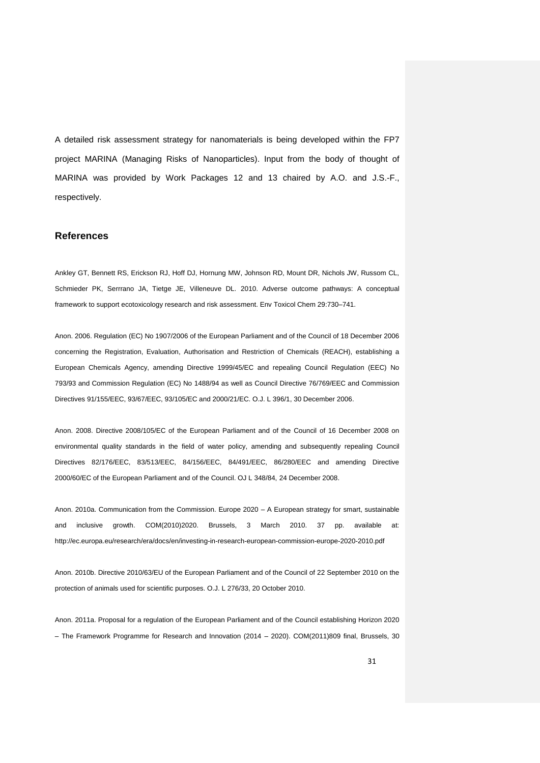A detailed risk assessment strategy for nanomaterials is being developed within the FP7 project MARINA (Managing Risks of Nanoparticles). Input from the body of thought of MARINA was provided by Work Packages 12 and 13 chaired by A.O. and J.S.-F., respectively.

#### **References**

Ankley GT, Bennett RS, Erickson RJ, Hoff DJ, Hornung MW, Johnson RD, Mount DR, Nichols JW, Russom CL, Schmieder PK, Serrrano JA, Tietge JE, Villeneuve DL. 2010. Adverse outcome pathways: A conceptual framework to support ecotoxicology research and risk assessment. Env Toxicol Chem 29:730–741.

Anon. 2006. Regulation (EC) No 1907/2006 of the European Parliament and of the Council of 18 December 2006 concerning the Registration, Evaluation, Authorisation and Restriction of Chemicals (REACH), establishing a European Chemicals Agency, amending Directive 1999/45/EC and repealing Council Regulation (EEC) No 793/93 and Commission Regulation (EC) No 1488/94 as well as Council Directive 76/769/EEC and Commission Directives 91/155/EEC, 93/67/EEC, 93/105/EC and 2000/21/EC. O.J. L 396/1, 30 December 2006.

Anon. 2008. Directive 2008/105/EC of the European Parliament and of the Council of 16 December 2008 on environmental quality standards in the field of water policy, amending and subsequently repealing Council Directives 82/176/EEC, 83/513/EEC, 84/156/EEC, 84/491/EEC, 86/280/EEC and amending Directive 2000/60/EC of the European Parliament and of the Council. OJ L 348/84, 24 December 2008.

Anon. 2010a. Communication from the Commission. Europe 2020 – A European strategy for smart, sustainable and inclusive growth. COM(2010)2020. Brussels, 3 March 2010. 37 pp. available at: http://ec.europa.eu/research/era/docs/en/investing-in-research-european-commission-europe-2020-2010.pdf

Anon. 2010b. Directive 2010/63/EU of the European Parliament and of the Council of 22 September 2010 on the protection of animals used for scientific purposes. O.J. L 276/33, 20 October 2010.

Anon. 2011a. Proposal for a regulation of the European Parliament and of the Council establishing Horizon 2020 – The Framework Programme for Research and Innovation (2014 – 2020). COM(2011)809 final, Brussels, 30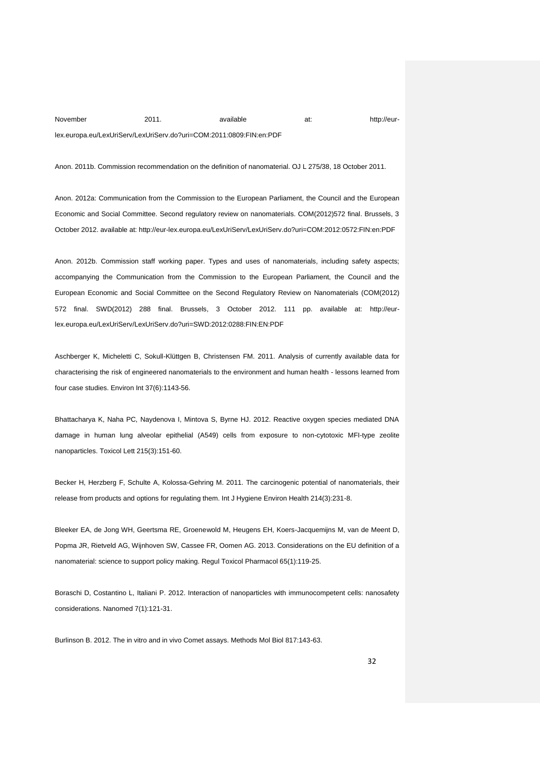# November 2011. available at: http://eurlex.europa.eu/LexUriServ/LexUriServ.do?uri=COM:2011:0809:FIN:en:PDF

Anon. 2011b. Commission recommendation on the definition of nanomaterial. OJ L 275/38, 18 October 2011.

Anon. 2012a: Communication from the Commission to the European Parliament, the Council and the European Economic and Social Committee. Second regulatory review on nanomaterials. COM(2012)572 final. Brussels, 3 October 2012. available at: http://eur-lex.europa.eu/LexUriServ/LexUriServ.do?uri=COM:2012:0572:FIN:en:PDF

Anon. 2012b. Commission staff working paper. Types and uses of nanomaterials, including safety aspects; accompanying the Communication from the Commission to the European Parliament, the Council and the European Economic and Social Committee on the Second Regulatory Review on Nanomaterials (COM(2012) 572 final. SWD(2012) 288 final. Brussels, 3 October 2012. 111 pp. available at: http://eurlex.europa.eu/LexUriServ/LexUriServ.do?uri=SWD:2012:0288:FIN:EN:PDF

Aschberger K, Micheletti C, Sokull-Klüttgen B, Christensen FM. 2011. Analysis of currently available data for characterising the risk of engineered nanomaterials to the environment and human health - lessons learned from four case studies. Environ Int 37(6):1143-56.

Bhattacharya K, Naha PC, Naydenova I, Mintova S, Byrne HJ. 2012. Reactive oxygen species mediated DNA damage in human lung alveolar epithelial (A549) cells from exposure to non-cytotoxic MFI-type zeolite nanoparticles. Toxicol Lett 215(3):151-60.

Becker H, Herzberg F, Schulte A, Kolossa-Gehring M. 2011. The carcinogenic potential of nanomaterials, their release from products and options for regulating them. Int J Hygiene Environ Health 214(3):231-8.

Bleeker EA, de Jong WH, Geertsma RE, Groenewold M, Heugens EH, Koers-Jacquemijns M, van de Meent D, Popma JR, Rietveld AG, Wijnhoven SW, Cassee FR, Oomen AG. 2013. Considerations on the EU definition of a nanomaterial: science to support policy making. Regul Toxicol Pharmacol 65(1):119-25.

Boraschi D, Costantino L, Italiani P. 2012. Interaction of nanoparticles with immunocompetent cells: nanosafety considerations. Nanomed 7(1):121-31.

Burlinson B. 2012. The in vitro and in vivo Comet assays. Methods Mol Biol 817:143-63.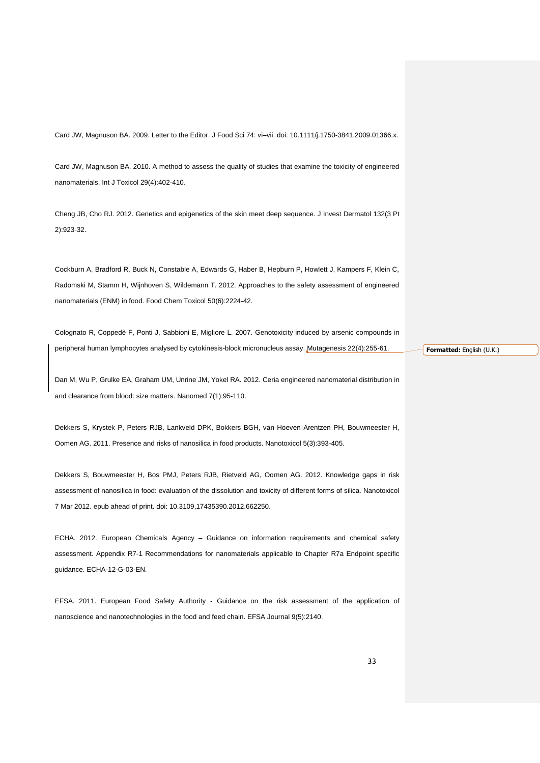Card JW, Magnuson BA. 2009. Letter to the Editor. J Food Sci 74: vi–vii. doi: 10.1111/j.1750-3841.2009.01366.x.

Card JW, Magnuson BA. 2010. A method to assess the quality of studies that examine the toxicity of engineered nanomaterials. Int J Toxicol 29(4):402-410.

Cheng JB, Cho RJ. 2012. Genetics and epigenetics of the skin meet deep sequence. J Invest Dermatol 132(3 Pt 2):923-32.

Cockburn A, Bradford R, Buck N, Constable A, Edwards G, Haber B, Hepburn P, Howlett J, Kampers F, Klein C, Radomski M, Stamm H, Wijnhoven S, Wildemann T. 2012. Approaches to the safety assessment of engineered nanomaterials (ENM) in food. Food Chem Toxicol 50(6):2224-42.

Colognato R, Coppedè F, Ponti J, Sabbioni E, Migliore L. 2007. Genotoxicity induced by arsenic compounds in peripheral human lymphocytes analysed by cytokinesis-block micronucleus assay. Mutagenesis 22(4):255-61.

Dan M, Wu P, Grulke EA, Graham UM, Unrine JM, Yokel RA. 2012. Ceria engineered nanomaterial distribution in and clearance from blood: size matters. Nanomed 7(1):95-110.

Dekkers S, Krystek P, Peters RJB, Lankveld DPK, Bokkers BGH, van Hoeven-Arentzen PH, Bouwmeester H, Oomen AG. 2011. Presence and risks of nanosilica in food products. Nanotoxicol 5(3):393-405.

Dekkers S, Bouwmeester H, Bos PMJ, Peters RJB, Rietveld AG, Oomen AG. 2012. Knowledge gaps in risk assessment of nanosilica in food: evaluation of the dissolution and toxicity of different forms of silica. Nanotoxicol 7 Mar 2012. epub ahead of print. doi: 10.3109,17435390.2012.662250.

ECHA. 2012. European Chemicals Agency – Guidance on information requirements and chemical safety assessment. Appendix R7-1 Recommendations for nanomaterials applicable to Chapter R7a Endpoint specific guidance. ECHA-12-G-03-EN.

EFSA. 2011. European Food Safety Authority - Guidance on the risk assessment of the application of nanoscience and nanotechnologies in the food and feed chain. EFSA Journal 9(5):2140.

**Formatted:** English (U.K.)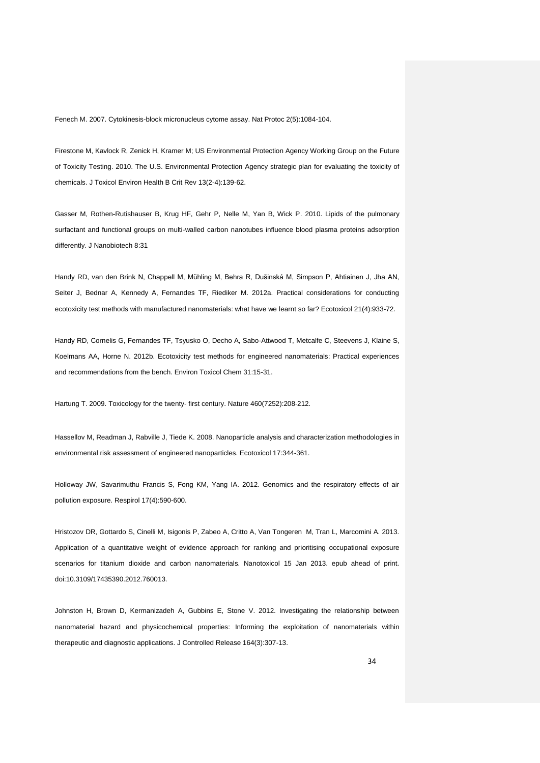Fenech M. 2007. Cytokinesis-block micronucleus cytome assay. Nat Protoc 2(5):1084-104.

Firestone M, Kavlock R, Zenick H, Kramer M; US Environmental Protection Agency Working Group on the Future of Toxicity Testing. 2010. The U.S. Environmental Protection Agency strategic plan for evaluating the toxicity of chemicals. J Toxicol Environ Health B Crit Rev 13(2-4):139-62.

Gasser M, Rothen-Rutishauser B, Krug HF, Gehr P, Nelle M, Yan B, Wick P. 2010. Lipids of the pulmonary surfactant and functional groups on multi-walled carbon nanotubes influence blood plasma proteins adsorption differently. J Nanobiotech 8:31

Handy RD, van den Brink N, Chappell M, Mühling M, Behra R, Dušinská M, Simpson P, Ahtiainen J, Jha AN, Seiter J, Bednar A, Kennedy A, Fernandes TF, Riediker M. 2012a. Practical considerations for conducting ecotoxicity test methods with manufactured nanomaterials: what have we learnt so far? Ecotoxicol 21(4):933-72.

Handy RD, Cornelis G, Fernandes TF, Tsyusko O, Decho A, Sabo-Attwood T, Metcalfe C, Steevens J, Klaine S, Koelmans AA, Horne N. 2012b. Ecotoxicity test methods for engineered nanomaterials: Practical experiences and recommendations from the bench. Environ Toxicol Chem 31:15-31.

Hartung T. 2009. Toxicology for the twenty‐ first century. Nature 460(7252):208‐212.

Hassellov M, Readman J, Rabville J, Tiede K. 2008. Nanoparticle analysis and characterization methodologies in environmental risk assessment of engineered nanoparticles. Ecotoxicol 17:344-361.

Holloway JW, Savarimuthu Francis S, Fong KM, Yang IA. 2012. Genomics and the respiratory effects of air pollution exposure. Respirol 17(4):590-600.

Hristozov DR, Gottardo S, Cinelli M, Isigonis P, Zabeo A, Critto A, Van Tongeren M, Tran L, Marcomini A. 2013. Application of a quantitative weight of evidence approach for ranking and prioritising occupational exposure scenarios for titanium dioxide and carbon nanomaterials. Nanotoxicol 15 Jan 2013. epub ahead of print. doi:10.3109/17435390.2012.760013.

Johnston H, Brown D, Kermanizadeh A, Gubbins E, Stone V. 2012. Investigating the relationship between nanomaterial hazard and physicochemical properties: Informing the exploitation of nanomaterials within therapeutic and diagnostic applications. J Controlled Release 164(3):307-13.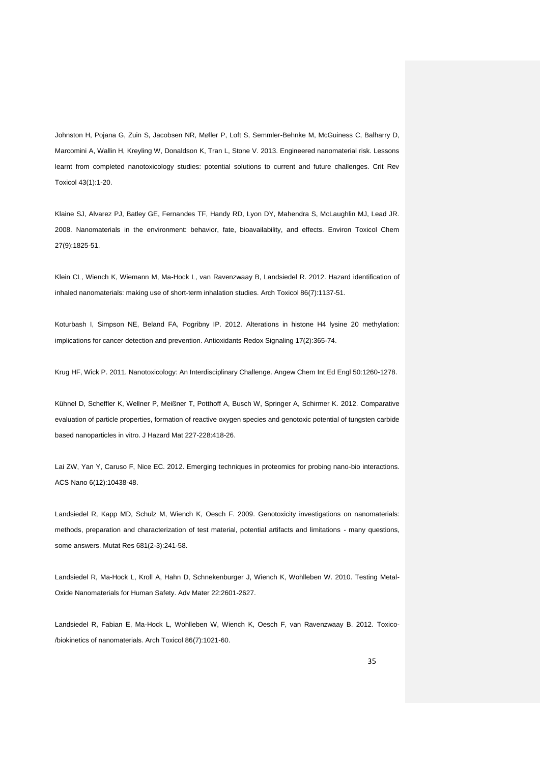Johnston H, Pojana G, Zuin S, Jacobsen NR, Møller P, Loft S, Semmler-Behnke M, McGuiness C, Balharry D, Marcomini A, Wallin H, Kreyling W, Donaldson K, Tran L, Stone V. 2013. Engineered nanomaterial risk. Lessons learnt from completed nanotoxicology studies: potential solutions to current and future challenges. Crit Rev Toxicol 43(1):1-20.

Klaine SJ, Alvarez PJ, Batley GE, Fernandes TF, Handy RD, Lyon DY, Mahendra S, McLaughlin MJ, Lead JR. 2008. Nanomaterials in the environment: behavior, fate, bioavailability, and effects. Environ Toxicol Chem 27(9):1825-51.

Klein CL, Wiench K, Wiemann M, Ma-Hock L, van Ravenzwaay B, Landsiedel R. 2012. Hazard identification of inhaled nanomaterials: making use of short-term inhalation studies. Arch Toxicol 86(7):1137-51.

Koturbash I, Simpson NE, Beland FA, Pogribny IP. 2012. Alterations in histone H4 lysine 20 methylation: implications for cancer detection and prevention. Antioxidants Redox Signaling 17(2):365-74.

Krug HF, Wick P. 2011. Nanotoxicology: An Interdisciplinary Challenge. Angew Chem Int Ed Engl 50:1260-1278.

Kühnel D, Scheffler K, Wellner P, Meißner T, Potthoff A, Busch W, Springer A, Schirmer K. 2012. Comparative evaluation of particle properties, formation of reactive oxygen species and genotoxic potential of tungsten carbide based nanoparticles in vitro. J Hazard Mat 227-228:418-26.

Lai ZW, Yan Y, Caruso F, Nice EC. 2012. Emerging techniques in proteomics for probing nano-bio interactions. ACS Nano 6(12):10438-48.

Landsiedel R, Kapp MD, Schulz M, Wiench K, Oesch F. 2009. Genotoxicity investigations on nanomaterials: methods, preparation and characterization of test material, potential artifacts and limitations - many questions, some answers. Mutat Res 681(2-3):241-58.

Landsiedel R, Ma-Hock L, Kroll A, Hahn D, Schnekenburger J, Wiench K, Wohlleben W. 2010. Testing Metal-Oxide Nanomaterials for Human Safety. Adv Mater 22:2601-2627.

Landsiedel R, Fabian E, Ma-Hock L, Wohlleben W, Wiench K, Oesch F, van Ravenzwaay B. 2012. Toxico- /biokinetics of nanomaterials. Arch Toxicol 86(7):1021-60.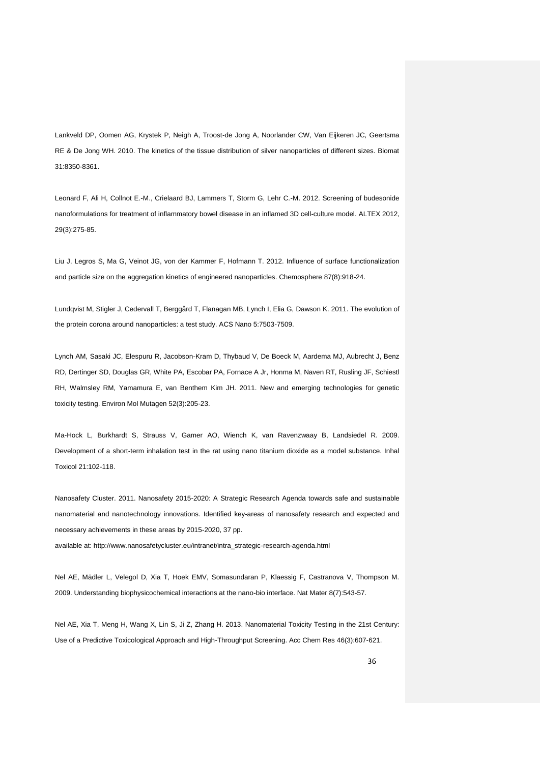Lankveld DP, Oomen AG, Krystek P, Neigh A, Troost-de Jong A, Noorlander CW, Van Eijkeren JC, Geertsma RE & De Jong WH. 2010. The kinetics of the tissue distribution of silver nanoparticles of different sizes. Biomat 31:8350-8361.

Leonard F, Ali H, Collnot E.-M., Crielaard BJ, Lammers T, Storm G, Lehr C.-M. 2012. Screening of budesonide nanoformulations for treatment of inflammatory bowel disease in an inflamed 3D cell-culture model. ALTEX 2012, 29(3):275-85.

Liu J, Legros S, Ma G, Veinot JG, von der Kammer F, Hofmann T. 2012. Influence of surface functionalization and particle size on the aggregation kinetics of engineered nanoparticles. Chemosphere 87(8):918-24.

Lundqvist M, Stigler J, Cedervall T, Berggård T, Flanagan MB, Lynch I, Elia G, Dawson K. 2011. The evolution of the protein corona around nanoparticles: a test study. ACS Nano 5:7503-7509.

Lynch AM, Sasaki JC, Elespuru R, Jacobson-Kram D, Thybaud V, De Boeck M, Aardema MJ, Aubrecht J, Benz RD, Dertinger SD, Douglas GR, White PA, Escobar PA, Fornace A Jr, Honma M, Naven RT, Rusling JF, Schiestl RH, Walmsley RM, Yamamura E, van Benthem Kim JH. 2011. New and emerging technologies for genetic toxicity testing. Environ Mol Mutagen 52(3):205-23.

Ma-Hock L, Burkhardt S, Strauss V, Gamer AO, Wiench K, van Ravenzwaay B, Landsiedel R. 2009. Development of a short-term inhalation test in the rat using nano titanium dioxide as a model substance. Inhal Toxicol 21:102-118.

Nanosafety Cluster. 2011. Nanosafety 2015-2020: A Strategic Research Agenda towards safe and sustainable nanomaterial and nanotechnology innovations. Identified key-areas of nanosafety research and expected and necessary achievements in these areas by 2015-2020, 37 pp. available at: http://www.nanosafetycluster.eu/intranet/intra\_strategic-research-agenda.html

Nel AE, Mädler L, Velegol D, Xia T, Hoek EMV, Somasundaran P, Klaessig F, Castranova V, Thompson M. 2009. Understanding biophysicochemical interactions at the nano-bio interface. Nat Mater 8(7):543-57.

Nel AE, Xia T, Meng H, Wang X, Lin S, Ji Z, Zhang H. 2013. Nanomaterial Toxicity Testing in the 21st Century: Use of a Predictive Toxicological Approach and High-Throughput Screening. Acc Chem Res 46(3):607-621.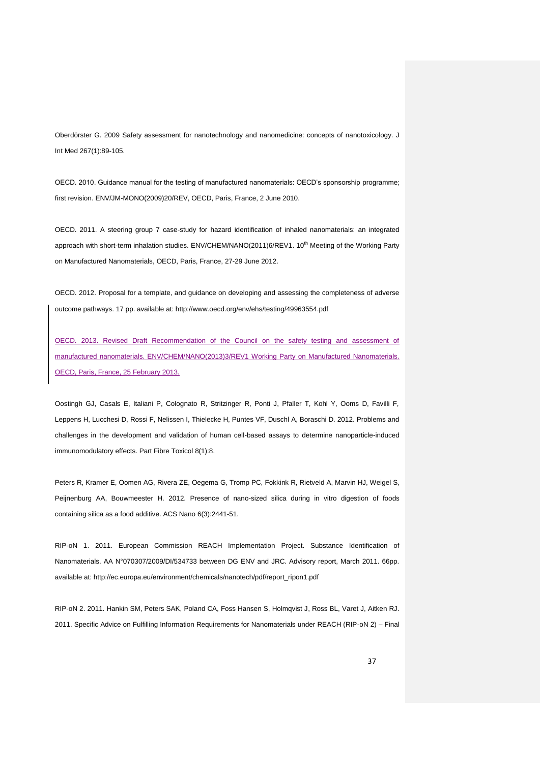Oberdörster G. 2009 Safety assessment for nanotechnology and nanomedicine: concepts of nanotoxicology. J Int Med 267(1):89-105.

OECD. 2010. Guidance manual for the testing of manufactured nanomaterials: OECD's sponsorship programme; first revision. ENV/JM-MONO(2009)20/REV, OECD, Paris, France, 2 June 2010.

OECD. 2011. A steering group 7 case-study for hazard identification of inhaled nanomaterials: an integrated approach with short-term inhalation studies. ENV/CHEM/NANO(2011)6/REV1. 10<sup>th</sup> Meeting of the Working Party on Manufactured Nanomaterials, OECD, Paris, France, 27-29 June 2012.

OECD. 2012. Proposal for a template, and guidance on developing and assessing the completeness of adverse outcome pathways. 17 pp. available at: http://www.oecd.org/env/ehs/testing/49963554.pdf

OECD. 2013. Revised Draft Recommendation of the Council on the safety testing and assessment of manufactured nanomaterials. ENV/CHEM/NANO(2013)3/REV1 Working Party on Manufactured Nanomaterials. OECD, Paris, France, 25 February 2013.

Oostingh GJ, Casals E, Italiani P, Colognato R, Stritzinger R, Ponti J, Pfaller T, Kohl Y, Ooms D, Favilli F, Leppens H, Lucchesi D, Rossi F, Nelissen I, Thielecke H, Puntes VF, Duschl A, Boraschi D. 2012. Problems and challenges in the development and validation of human cell-based assays to determine nanoparticle-induced immunomodulatory effects. Part Fibre Toxicol 8(1):8.

Peters R, Kramer E, Oomen AG, Rivera ZE, Oegema G, Tromp PC, Fokkink R, Rietveld A, Marvin HJ, Weigel S, Peijnenburg AA, Bouwmeester H. 2012. Presence of nano-sized silica during in vitro digestion of foods containing silica as a food additive. ACS Nano 6(3):2441-51.

RIP-oN 1. 2011. European Commission REACH Implementation Project. Substance Identification of Nanomaterials. AA N°070307/2009/DI/534733 between DG ENV and JRC. Advisory report, March 2011. 66pp. available at: http://ec.europa.eu/environment/chemicals/nanotech/pdf/report\_ripon1.pdf

RIP-oN 2. 2011. Hankin SM, Peters SAK, Poland CA, Foss Hansen S, Holmqvist J, Ross BL, Varet J, Aitken RJ. 2011. Specific Advice on Fulfilling Information Requirements for Nanomaterials under REACH (RIP-oN 2) – Final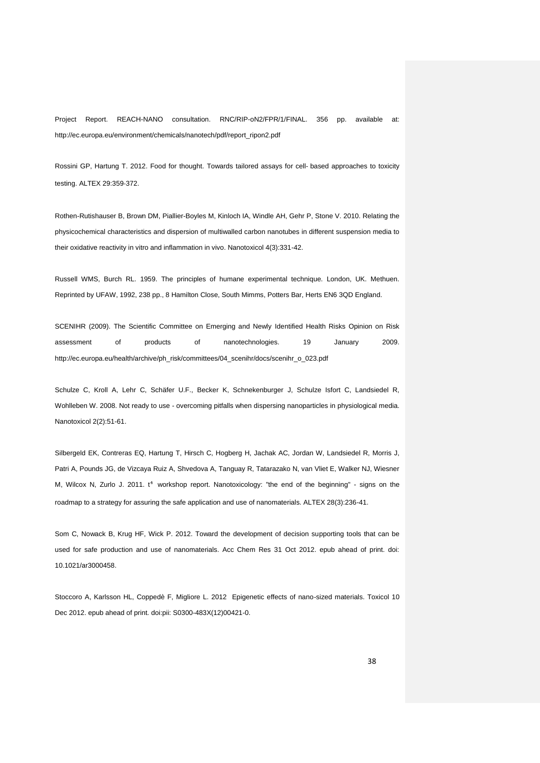Project Report. REACH-NANO consultation. RNC/RIP-oN2/FPR/1/FINAL. 356 pp. available at: http://ec.europa.eu/environment/chemicals/nanotech/pdf/report\_ripon2.pdf

Rossini GP, Hartung T. 2012. Food for thought. Towards tailored assays for cell‐ based approaches to toxicity testing. ALTEX 29:359‐372.

Rothen-Rutishauser B, Brown DM, Piallier-Boyles M, Kinloch IA, Windle AH, Gehr P, Stone V. 2010. Relating the physicochemical characteristics and dispersion of multiwalled carbon nanotubes in different suspension media to their oxidative reactivity in vitro and inflammation in vivo. Nanotoxicol 4(3):331-42.

Russell WMS, Burch RL. 1959. The principles of humane experimental technique. London, UK. Methuen. Reprinted by UFAW, 1992, 238 pp., 8 Hamilton Close, South Mimms, Potters Bar, Herts EN6 3QD England.

SCENIHR (2009). The Scientific Committee on Emerging and Newly Identified Health Risks Opinion on Risk assessment of products of nanotechnologies. 19 January 2009. http://ec.europa.eu/health/archive/ph\_risk/committees/04\_scenihr/docs/scenihr\_o\_023.pdf

Schulze C, Kroll A, Lehr C, Schäfer U.F., Becker K, Schnekenburger J, Schulze Isfort C, Landsiedel R, Wohlleben W. 2008. Not ready to use - overcoming pitfalls when dispersing nanoparticles in physiological media. Nanotoxicol 2(2):51-61.

Silbergeld EK, Contreras EQ, Hartung T, Hirsch C, Hogberg H, Jachak AC, Jordan W, Landsiedel R, Morris J, Patri A, Pounds JG, de Vizcaya Ruiz A, Shvedova A, Tanguay R, Tatarazako N, van Vliet E, Walker NJ, Wiesner M, Wilcox N, Zurlo J. 2011. t<sup>4</sup> workshop report. Nanotoxicology: "the end of the beginning" - signs on the roadmap to a strategy for assuring the safe application and use of nanomaterials. ALTEX 28(3):236-41.

Som C, Nowack B, Krug HF, Wick P. 2012. Toward the development of decision supporting tools that can be used for safe production and use of nanomaterials. Acc Chem Res 31 Oct 2012. epub ahead of print. doi: 10.1021/ar3000458.

Stoccoro A, Karlsson HL, Coppedè F, Migliore L. 2012 Epigenetic effects of nano-sized materials. Toxicol 10 Dec 2012. epub ahead of print. doi:pii: S0300-483X(12)00421-0.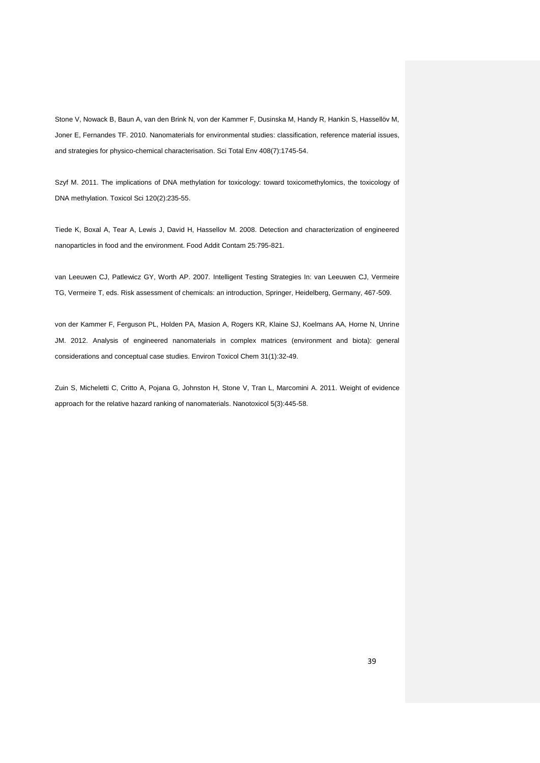Stone V, Nowack B, Baun A, van den Brink N, von der Kammer F, Dusinska M, Handy R, Hankin S, Hassellöv M, Joner E, Fernandes TF. 2010. Nanomaterials for environmental studies: classification, reference material issues, and strategies for physico-chemical characterisation. Sci Total Env 408(7):1745-54.

Szyf M. 2011. The implications of DNA methylation for toxicology: toward toxicomethylomics, the toxicology of DNA methylation. Toxicol Sci 120(2):235-55.

Tiede K, Boxal A, Tear A, Lewis J, David H, Hassellov M. 2008. Detection and characterization of engineered nanoparticles in food and the environment. Food Addit Contam 25:795-821.

van Leeuwen CJ, Patlewicz GY, Worth AP. 2007. Intelligent Testing Strategies In: van Leeuwen CJ, Vermeire TG, Vermeire T, eds. Risk assessment of chemicals: an introduction, Springer, Heidelberg, Germany, 467-509.

von der Kammer F, Ferguson PL, Holden PA, Masion A, Rogers KR, Klaine SJ, Koelmans AA, Horne N, Unrine JM. 2012. Analysis of engineered nanomaterials in complex matrices (environment and biota): general considerations and conceptual case studies. Environ Toxicol Chem 31(1):32-49.

Zuin S, Micheletti C, Critto A, Pojana G, Johnston H, Stone V, Tran L, Marcomini A. 2011. Weight of evidence approach for the relative hazard ranking of nanomaterials. Nanotoxicol 5(3):445-58.